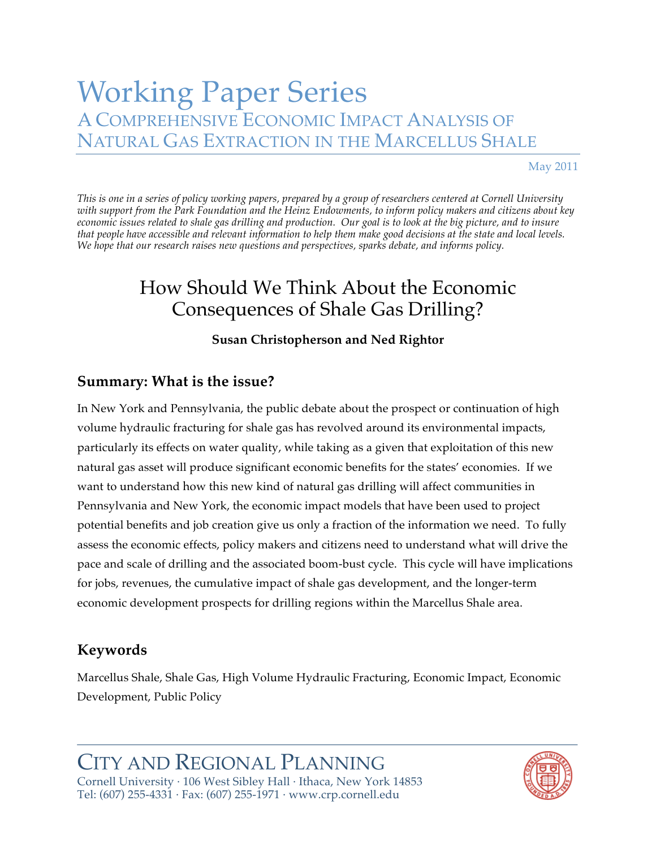# Working Paper Series A COMPREHENSIVE ECONOMIC IMPACT ANALYSIS OF NATURAL GAS EXTRACTION IN THE MARCELLUS SHALE

May 2011

*This is one in a series of policy working papers, prepared by a group of researchers centered at Cornell University with support from the Park Foundation and the Heinz Endowments, to inform policy makers and citizens about key economic issues related to shale gas drilling and production. Our goal is to look at the big picture, and to insure that people have accessible and relevant information to help them make good decisions at the state and local levels. We hope that our research raises new questions and perspectives, sparks debate, and informs policy.*

# How Should We Think About the Economic Consequences of Shale Gas Drilling?

### **Susan Christopherson and Ned Rightor**

# **Summary: What is the issue?**

In New York and Pennsylvania, the public debate about the prospect or continuation of high volume hydraulic fracturing for shale gas has revolved around its environmental impacts, particularly its effects on water quality, while taking as a given that exploitation of this new natural gas asset will produce significant economic benefits for the states' economies. If we want to understand how this new kind of natural gas drilling will affect communities in Pennsylvania and New York, the economic impact models that have been used to project potential benefits and job creation give us only a fraction of the information we need. To fully assess the economic effects, policy makers and citizens need to understand what will drive the pace and scale of drilling and the associated boom-bust cycle. This cycle will have implications for jobs, revenues, the cumulative impact of shale gas development, and the longer-term economic development prospects for drilling regions within the Marcellus Shale area.

# **Keywords**

Marcellus Shale, Shale Gas, High Volume Hydraulic Fracturing, Economic Impact, Economic Development, Public Policy

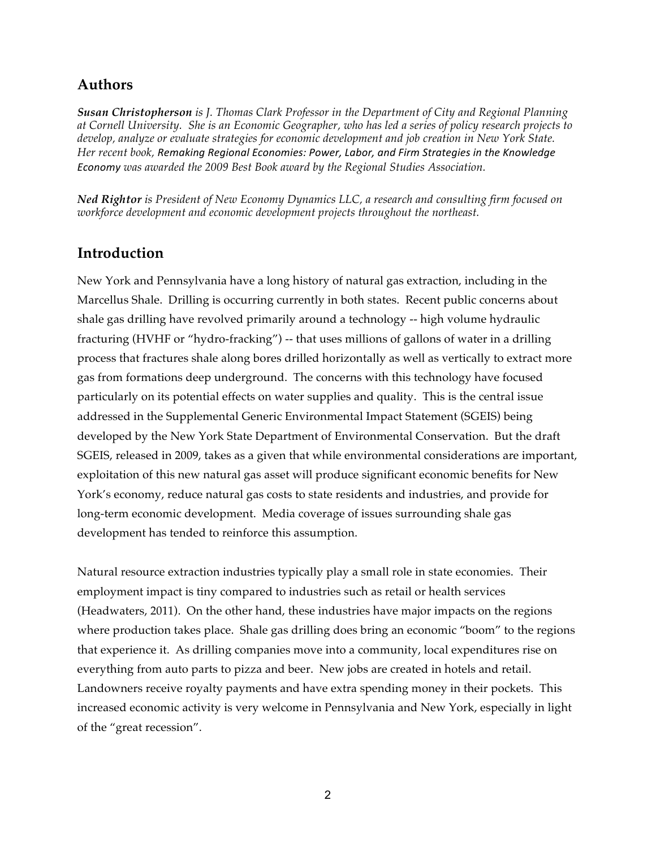### **Authors**

*Susan Christopherson is J. Thomas Clark Professor in the Department of City and Regional Planning at Cornell University. She is an Economic Geographer, who has led a series of policy research projects to develop, analyze or evaluate strategies for economic development and job creation in New York State.*  Her recent book, Remaking Regional Economies: Power, Labor, and Firm Strategies in the Knowledge *Economy was awarded the 2009 Best Book award by the Regional Studies Association.*

*Ned Rightor is President of New Economy Dynamics LLC, a research and consulting firm focused on workforce development and economic development projects throughout the northeast.*

### **Introduction**

New York and Pennsylvania have a long history of natural gas extraction, including in the Marcellus Shale. Drilling is occurring currently in both states. Recent public concerns about shale gas drilling have revolved primarily around a technology -- high volume hydraulic fracturing (HVHF or "hydro-fracking") -- that uses millions of gallons of water in a drilling process that fractures shale along bores drilled horizontally as well as vertically to extract more gas from formations deep underground. The concerns with this technology have focused particularly on its potential effects on water supplies and quality. This is the central issue addressed in the Supplemental Generic Environmental Impact Statement (SGEIS) being developed by the New York State Department of Environmental Conservation. But the draft SGEIS, released in 2009, takes as a given that while environmental considerations are important, exploitation of this new natural gas asset will produce significant economic benefits for New York's economy, reduce natural gas costs to state residents and industries, and provide for long-term economic development. Media coverage of issues surrounding shale gas development has tended to reinforce this assumption.

Natural resource extraction industries typically play a small role in state economies. Their employment impact is tiny compared to industries such as retail or health services (Headwaters, 2011). On the other hand, these industries have major impacts on the regions where production takes place. Shale gas drilling does bring an economic "boom" to the regions that experience it. As drilling companies move into a community, local expenditures rise on everything from auto parts to pizza and beer. New jobs are created in hotels and retail. Landowners receive royalty payments and have extra spending money in their pockets. This increased economic activity is very welcome in Pennsylvania and New York, especially in light of the "great recession".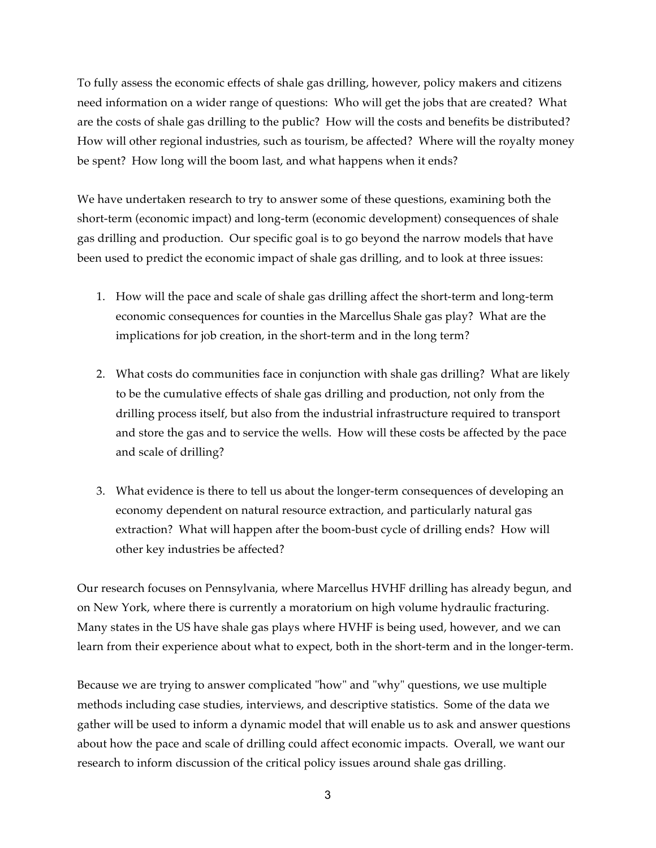To fully assess the economic effects of shale gas drilling, however, policy makers and citizens need information on a wider range of questions: Who will get the jobs that are created? What are the costs of shale gas drilling to the public? How will the costs and benefits be distributed? How will other regional industries, such as tourism, be affected? Where will the royalty money be spent? How long will the boom last, and what happens when it ends?

We have undertaken research to try to answer some of these questions, examining both the short-term (economic impact) and long-term (economic development) consequences of shale gas drilling and production. Our specific goal is to go beyond the narrow models that have been used to predict the economic impact of shale gas drilling, and to look at three issues:

- 1. How will the pace and scale of shale gas drilling affect the short-term and long-term economic consequences for counties in the Marcellus Shale gas play? What are the implications for job creation, in the short-term and in the long term?
- 2. What costs do communities face in conjunction with shale gas drilling? What are likely to be the cumulative effects of shale gas drilling and production, not only from the drilling process itself, but also from the industrial infrastructure required to transport and store the gas and to service the wells. How will these costs be affected by the pace and scale of drilling?
- 3. What evidence is there to tell us about the longer-term consequences of developing an economy dependent on natural resource extraction, and particularly natural gas extraction? What will happen after the boom-bust cycle of drilling ends? How will other key industries be affected?

Our research focuses on Pennsylvania, where Marcellus HVHF drilling has already begun, and on New York, where there is currently a moratorium on high volume hydraulic fracturing. Many states in the US have shale gas plays where HVHF is being used, however, and we can learn from their experience about what to expect, both in the short-term and in the longer-term.

Because we are trying to answer complicated "how" and "why" questions, we use multiple methods including case studies, interviews, and descriptive statistics. Some of the data we gather will be used to inform a dynamic model that will enable us to ask and answer questions about how the pace and scale of drilling could affect economic impacts. Overall, we want our research to inform discussion of the critical policy issues around shale gas drilling.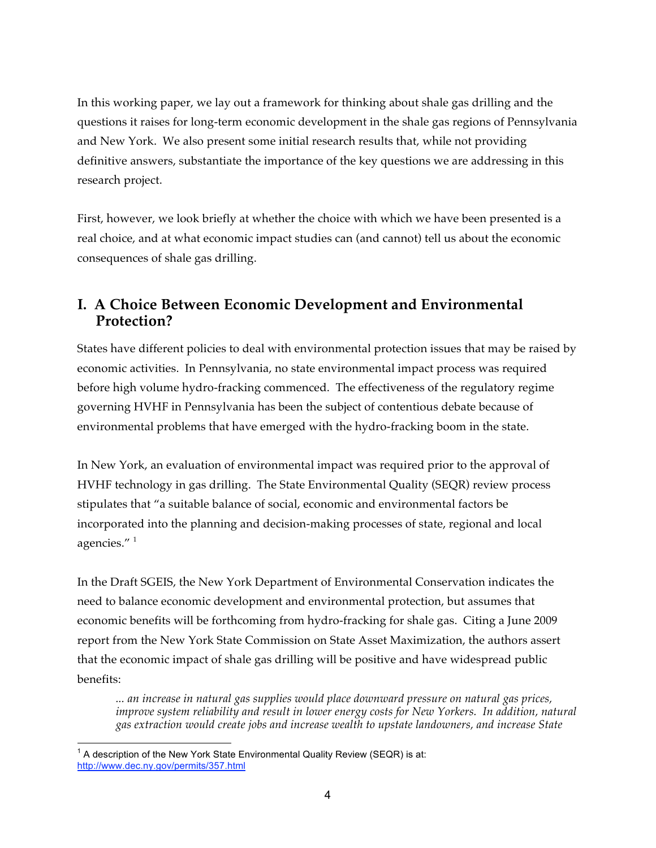In this working paper, we lay out a framework for thinking about shale gas drilling and the questions it raises for long-term economic development in the shale gas regions of Pennsylvania and New York. We also present some initial research results that, while not providing definitive answers, substantiate the importance of the key questions we are addressing in this research project.

First, however, we look briefly at whether the choice with which we have been presented is a real choice, and at what economic impact studies can (and cannot) tell us about the economic consequences of shale gas drilling.

# **I. A Choice Between Economic Development and Environmental Protection?**

States have different policies to deal with environmental protection issues that may be raised by economic activities. In Pennsylvania, no state environmental impact process was required before high volume hydro-fracking commenced. The effectiveness of the regulatory regime governing HVHF in Pennsylvania has been the subject of contentious debate because of environmental problems that have emerged with the hydro-fracking boom in the state.

In New York, an evaluation of environmental impact was required prior to the approval of HVHF technology in gas drilling. The State Environmental Quality (SEQR) review process stipulates that "a suitable balance of social, economic and environmental factors be incorporated into the planning and decision-making processes of state, regional and local agencies."<sup>1</sup>

In the Draft SGEIS, the New York Department of Environmental Conservation indicates the need to balance economic development and environmental protection, but assumes that economic benefits will be forthcoming from hydro-fracking for shale gas. Citing a June 2009 report from the New York State Commission on State Asset Maximization, the authors assert that the economic impact of shale gas drilling will be positive and have widespread public benefits:

*... an increase in natural gas supplies would place downward pressure on natural gas prices, improve system reliability and result in lower energy costs for New Yorkers. In addition, natural gas extraction would create jobs and increase wealth to upstate landowners, and increase State* 

 $1$  A description of the New York State Environmental Quality Review (SEQR) is at: http://www.dec.ny.gov/permits/357.html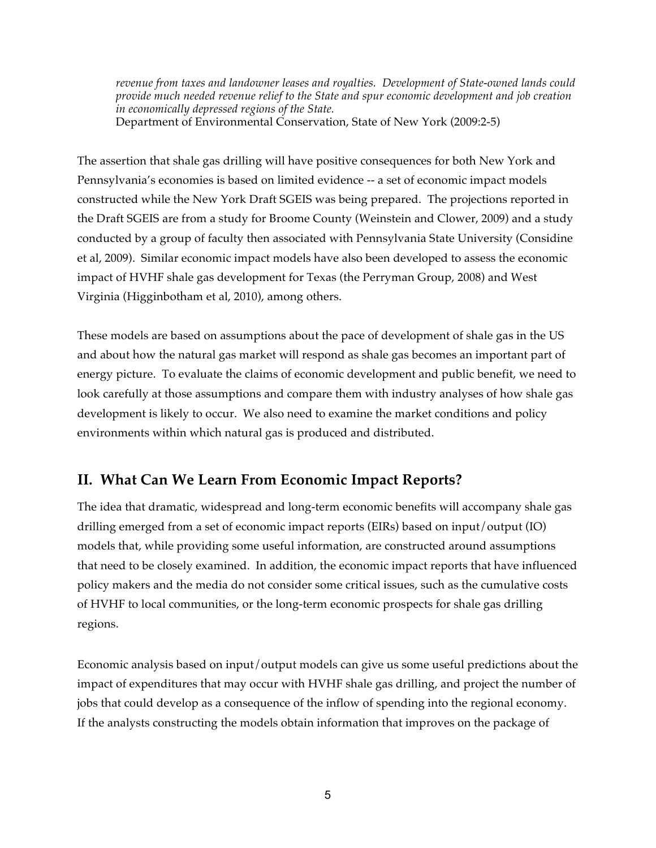*revenue from taxes and landowner leases and royalties. Development of State-owned lands could provide much needed revenue relief to the State and spur economic development and job creation in economically depressed regions of the State.* Department of Environmental Conservation, State of New York (2009:2-5)

The assertion that shale gas drilling will have positive consequences for both New York and Pennsylvania's economies is based on limited evidence -- a set of economic impact models constructed while the New York Draft SGEIS was being prepared. The projections reported in the Draft SGEIS are from a study for Broome County (Weinstein and Clower, 2009) and a study conducted by a group of faculty then associated with Pennsylvania State University (Considine et al, 2009). Similar economic impact models have also been developed to assess the economic impact of HVHF shale gas development for Texas (the Perryman Group, 2008) and West Virginia (Higginbotham et al, 2010), among others.

These models are based on assumptions about the pace of development of shale gas in the US and about how the natural gas market will respond as shale gas becomes an important part of energy picture. To evaluate the claims of economic development and public benefit, we need to look carefully at those assumptions and compare them with industry analyses of how shale gas development is likely to occur. We also need to examine the market conditions and policy environments within which natural gas is produced and distributed.

# **II. What Can We Learn From Economic Impact Reports?**

The idea that dramatic, widespread and long-term economic benefits will accompany shale gas drilling emerged from a set of economic impact reports (EIRs) based on input/output (IO) models that, while providing some useful information, are constructed around assumptions that need to be closely examined. In addition, the economic impact reports that have influenced policy makers and the media do not consider some critical issues, such as the cumulative costs of HVHF to local communities, or the long-term economic prospects for shale gas drilling regions.

Economic analysis based on input/output models can give us some useful predictions about the impact of expenditures that may occur with HVHF shale gas drilling, and project the number of jobs that could develop as a consequence of the inflow of spending into the regional economy. If the analysts constructing the models obtain information that improves on the package of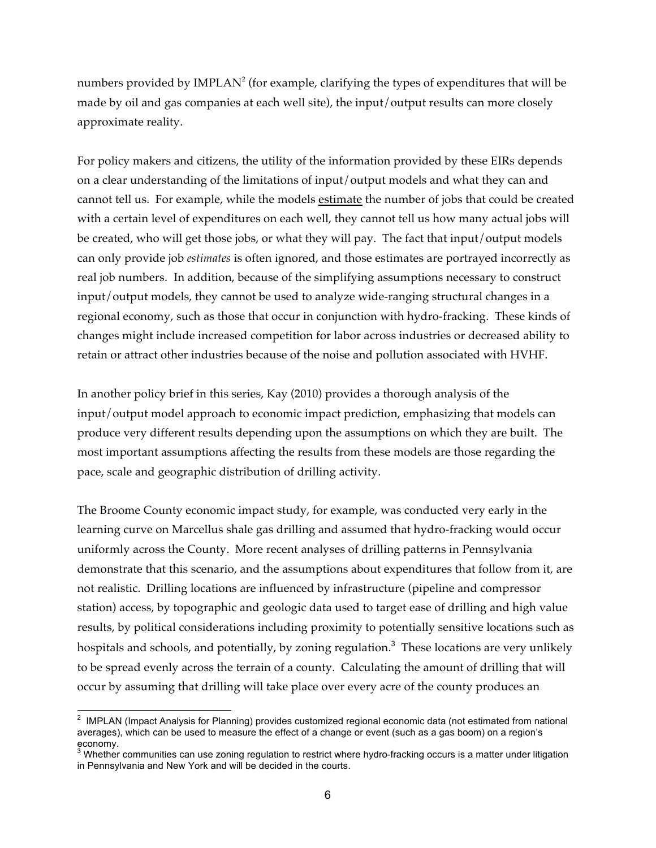numbers provided by IMPLAN<sup>2</sup> (for example, clarifying the types of expenditures that will be made by oil and gas companies at each well site), the input/output results can more closely approximate reality.

For policy makers and citizens, the utility of the information provided by these EIRs depends on a clear understanding of the limitations of input/output models and what they can and cannot tell us. For example, while the models estimate the number of jobs that could be created with a certain level of expenditures on each well, they cannot tell us how many actual jobs will be created, who will get those jobs, or what they will pay. The fact that input/output models can only provide job *estimates* is often ignored, and those estimates are portrayed incorrectly as real job numbers. In addition, because of the simplifying assumptions necessary to construct input/output models, they cannot be used to analyze wide-ranging structural changes in a regional economy, such as those that occur in conjunction with hydro-fracking. These kinds of changes might include increased competition for labor across industries or decreased ability to retain or attract other industries because of the noise and pollution associated with HVHF.

In another policy brief in this series, Kay (2010) provides a thorough analysis of the input/output model approach to economic impact prediction, emphasizing that models can produce very different results depending upon the assumptions on which they are built. The most important assumptions affecting the results from these models are those regarding the pace, scale and geographic distribution of drilling activity.

The Broome County economic impact study, for example, was conducted very early in the learning curve on Marcellus shale gas drilling and assumed that hydro-fracking would occur uniformly across the County. More recent analyses of drilling patterns in Pennsylvania demonstrate that this scenario, and the assumptions about expenditures that follow from it, are not realistic. Drilling locations are influenced by infrastructure (pipeline and compressor station) access, by topographic and geologic data used to target ease of drilling and high value results, by political considerations including proximity to potentially sensitive locations such as hospitals and schools, and potentially, by zoning regulation.<sup>3</sup> These locations are very unlikely to be spread evenly across the terrain of a county. Calculating the amount of drilling that will occur by assuming that drilling will take place over every acre of the county produces an

 $2$  IMPLAN (Impact Analysis for Planning) provides customized regional economic data (not estimated from national averages), which can be used to measure the effect of a change or event (such as a gas boom) on a region's economy.

 $3\overline{3}$  Whether communities can use zoning regulation to restrict where hydro-fracking occurs is a matter under litigation in Pennsylvania and New York and will be decided in the courts.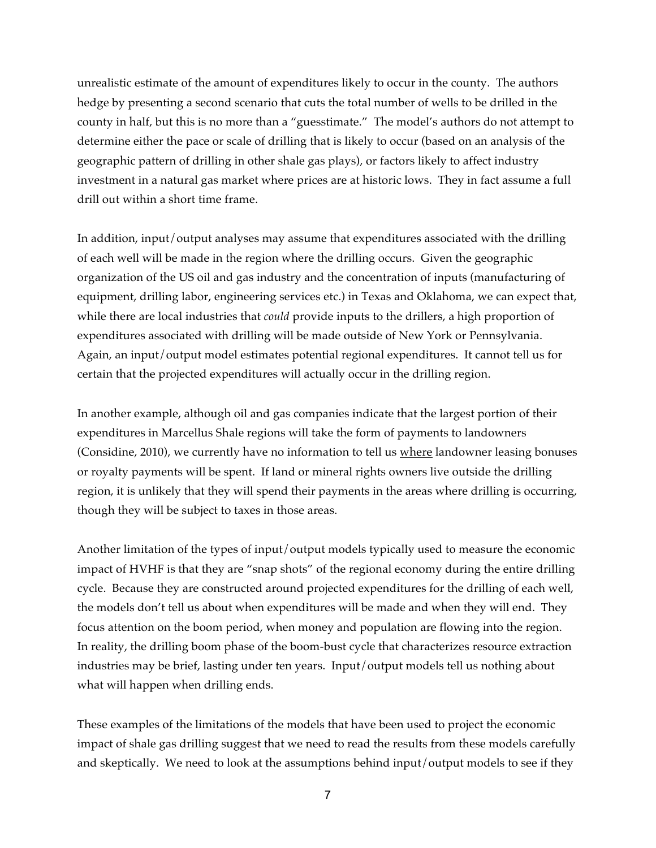unrealistic estimate of the amount of expenditures likely to occur in the county. The authors hedge by presenting a second scenario that cuts the total number of wells to be drilled in the county in half, but this is no more than a "guesstimate." The model's authors do not attempt to determine either the pace or scale of drilling that is likely to occur (based on an analysis of the geographic pattern of drilling in other shale gas plays), or factors likely to affect industry investment in a natural gas market where prices are at historic lows. They in fact assume a full drill out within a short time frame.

In addition, input/output analyses may assume that expenditures associated with the drilling of each well will be made in the region where the drilling occurs. Given the geographic organization of the US oil and gas industry and the concentration of inputs (manufacturing of equipment, drilling labor, engineering services etc.) in Texas and Oklahoma, we can expect that, while there are local industries that *could* provide inputs to the drillers, a high proportion of expenditures associated with drilling will be made outside of New York or Pennsylvania. Again, an input/output model estimates potential regional expenditures. It cannot tell us for certain that the projected expenditures will actually occur in the drilling region.

In another example, although oil and gas companies indicate that the largest portion of their expenditures in Marcellus Shale regions will take the form of payments to landowners (Considine, 2010), we currently have no information to tell us where landowner leasing bonuses or royalty payments will be spent. If land or mineral rights owners live outside the drilling region, it is unlikely that they will spend their payments in the areas where drilling is occurring, though they will be subject to taxes in those areas.

Another limitation of the types of input/output models typically used to measure the economic impact of HVHF is that they are "snap shots" of the regional economy during the entire drilling cycle. Because they are constructed around projected expenditures for the drilling of each well, the models don't tell us about when expenditures will be made and when they will end. They focus attention on the boom period, when money and population are flowing into the region. In reality, the drilling boom phase of the boom-bust cycle that characterizes resource extraction industries may be brief, lasting under ten years. Input/output models tell us nothing about what will happen when drilling ends.

These examples of the limitations of the models that have been used to project the economic impact of shale gas drilling suggest that we need to read the results from these models carefully and skeptically. We need to look at the assumptions behind input/output models to see if they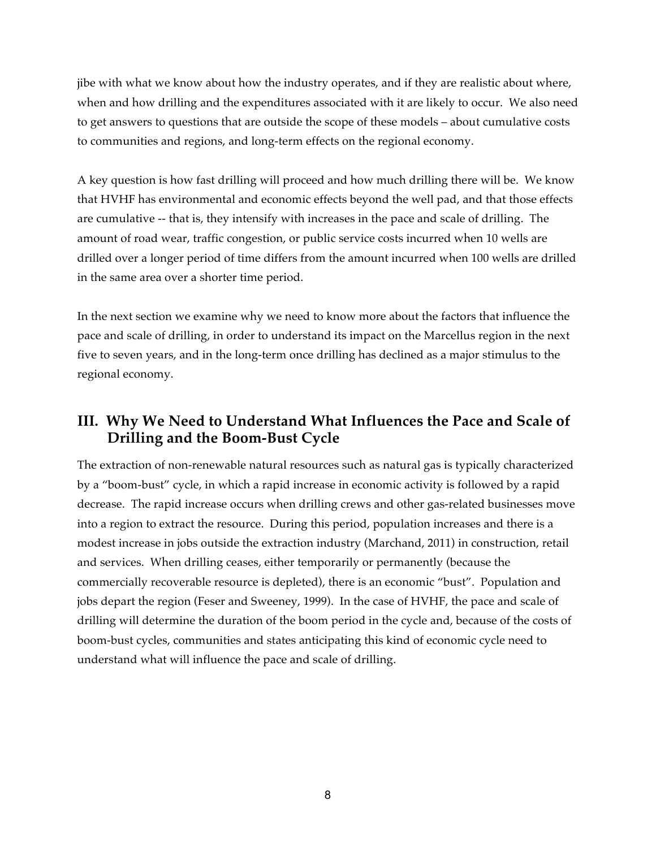jibe with what we know about how the industry operates, and if they are realistic about where, when and how drilling and the expenditures associated with it are likely to occur. We also need to get answers to questions that are outside the scope of these models – about cumulative costs to communities and regions, and long-term effects on the regional economy.

A key question is how fast drilling will proceed and how much drilling there will be. We know that HVHF has environmental and economic effects beyond the well pad, and that those effects are cumulative -- that is, they intensify with increases in the pace and scale of drilling. The amount of road wear, traffic congestion, or public service costs incurred when 10 wells are drilled over a longer period of time differs from the amount incurred when 100 wells are drilled in the same area over a shorter time period.

In the next section we examine why we need to know more about the factors that influence the pace and scale of drilling, in order to understand its impact on the Marcellus region in the next five to seven years, and in the long-term once drilling has declined as a major stimulus to the regional economy.

# **III. Why We Need to Understand What Influences the Pace and Scale of Drilling and the Boom-Bust Cycle**

The extraction of non-renewable natural resources such as natural gas is typically characterized by a "boom-bust" cycle, in which a rapid increase in economic activity is followed by a rapid decrease. The rapid increase occurs when drilling crews and other gas-related businesses move into a region to extract the resource. During this period, population increases and there is a modest increase in jobs outside the extraction industry (Marchand, 2011) in construction, retail and services. When drilling ceases, either temporarily or permanently (because the commercially recoverable resource is depleted), there is an economic "bust". Population and jobs depart the region (Feser and Sweeney, 1999). In the case of HVHF, the pace and scale of drilling will determine the duration of the boom period in the cycle and, because of the costs of boom-bust cycles, communities and states anticipating this kind of economic cycle need to understand what will influence the pace and scale of drilling.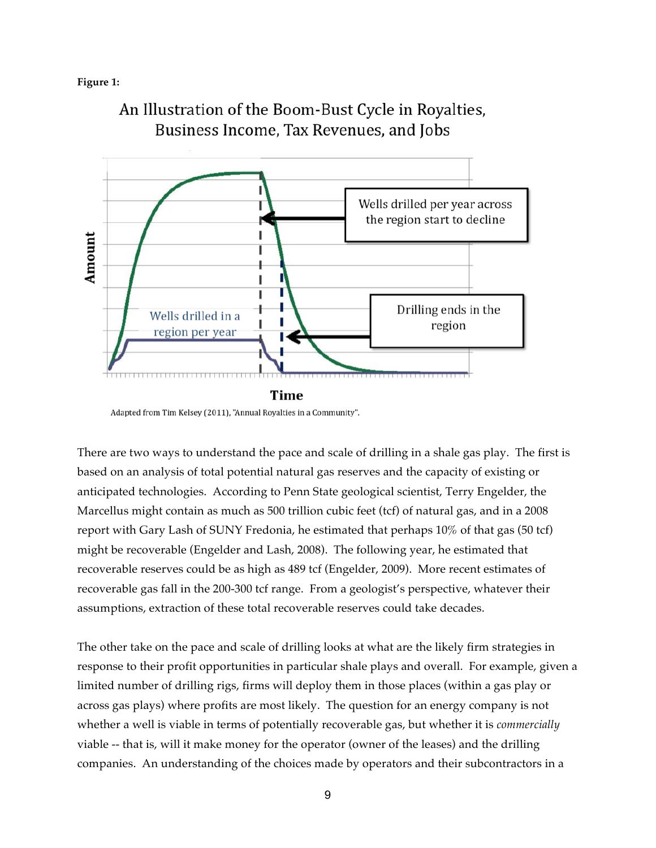#### **Figure 1:**



An Illustration of the Boom-Bust Cycle in Royalties, Business Income, Tax Revenues, and Jobs

There are two ways to understand the pace and scale of drilling in a shale gas play. The first is based on an analysis of total potential natural gas reserves and the capacity of existing or anticipated technologies. According to Penn State geological scientist, Terry Engelder, the Marcellus might contain as much as 500 trillion cubic feet (tcf) of natural gas, and in a 2008 report with Gary Lash of SUNY Fredonia, he estimated that perhaps 10% of that gas (50 tcf) might be recoverable (Engelder and Lash, 2008). The following year, he estimated that recoverable reserves could be as high as 489 tcf (Engelder, 2009). More recent estimates of recoverable gas fall in the 200-300 tcf range. From a geologist's perspective, whatever their assumptions, extraction of these total recoverable reserves could take decades.

The other take on the pace and scale of drilling looks at what are the likely firm strategies in response to their profit opportunities in particular shale plays and overall. For example, given a limited number of drilling rigs, firms will deploy them in those places (within a gas play or across gas plays) where profits are most likely. The question for an energy company is not whether a well is viable in terms of potentially recoverable gas, but whether it is *commercially* viable -- that is, will it make money for the operator (owner of the leases) and the drilling companies. An understanding of the choices made by operators and their subcontractors in a

Adapted from Tim Kelsey (2011), "Annual Royalties in a Community".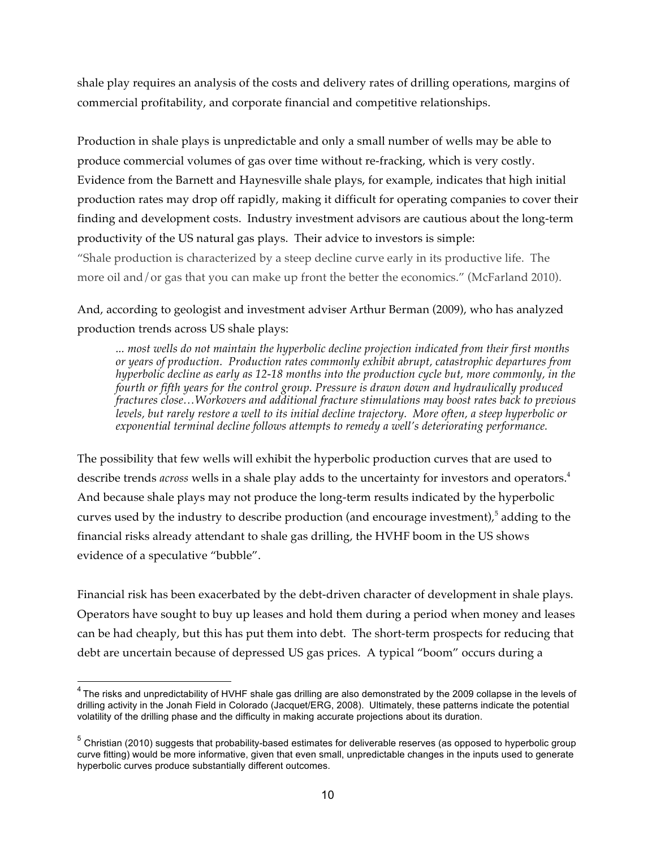shale play requires an analysis of the costs and delivery rates of drilling operations, margins of commercial profitability, and corporate financial and competitive relationships.

Production in shale plays is unpredictable and only a small number of wells may be able to produce commercial volumes of gas over time without re-fracking, which is very costly. Evidence from the Barnett and Haynesville shale plays, for example, indicates that high initial production rates may drop off rapidly, making it difficult for operating companies to cover their finding and development costs. Industry investment advisors are cautious about the long-term productivity of the US natural gas plays. Their advice to investors is simple: "Shale production is characterized by a steep decline curve early in its productive life. The more oil and/or gas that you can make up front the better the economics." (McFarland 2010).

And, according to geologist and investment adviser Arthur Berman (2009), who has analyzed production trends across US shale plays:

*... most wells do not maintain the hyperbolic decline projection indicated from their first months or years of production. Production rates commonly exhibit abrupt, catastrophic departures from hyperbolic decline as early as 12-18 months into the production cycle but, more commonly, in the fourth or fifth years for the control group. Pressure is drawn down and hydraulically produced fractures close…Workovers and additional fracture stimulations may boost rates back to previous levels, but rarely restore a well to its initial decline trajectory. More often, a steep hyperbolic or exponential terminal decline follows attempts to remedy a well's deteriorating performance.*

The possibility that few wells will exhibit the hyperbolic production curves that are used to describe trends *across* wells in a shale play adds to the uncertainty for investors and operators. 4 And because shale plays may not produce the long-term results indicated by the hyperbolic curves used by the industry to describe production (and encourage investment), $^5$  adding to the financial risks already attendant to shale gas drilling, the HVHF boom in the US shows evidence of a speculative "bubble".

Financial risk has been exacerbated by the debt-driven character of development in shale plays. Operators have sought to buy up leases and hold them during a period when money and leases can be had cheaply, but this has put them into debt. The short-term prospects for reducing that debt are uncertain because of depressed US gas prices. A typical "boom" occurs during a

<sup>&</sup>lt;sup>4</sup> The risks and unpredictability of HVHF shale gas drilling are also demonstrated by the 2009 collapse in the levels of drilling activity in the Jonah Field in Colorado (Jacquet/ERG, 2008). Ultimately, these patterns indicate the potential volatility of the drilling phase and the difficulty in making accurate projections about its duration.

 $5$  Christian (2010) suggests that probability-based estimates for deliverable reserves (as opposed to hyperbolic group curve fitting) would be more informative, given that even small, unpredictable changes in the inputs used to generate hyperbolic curves produce substantially different outcomes.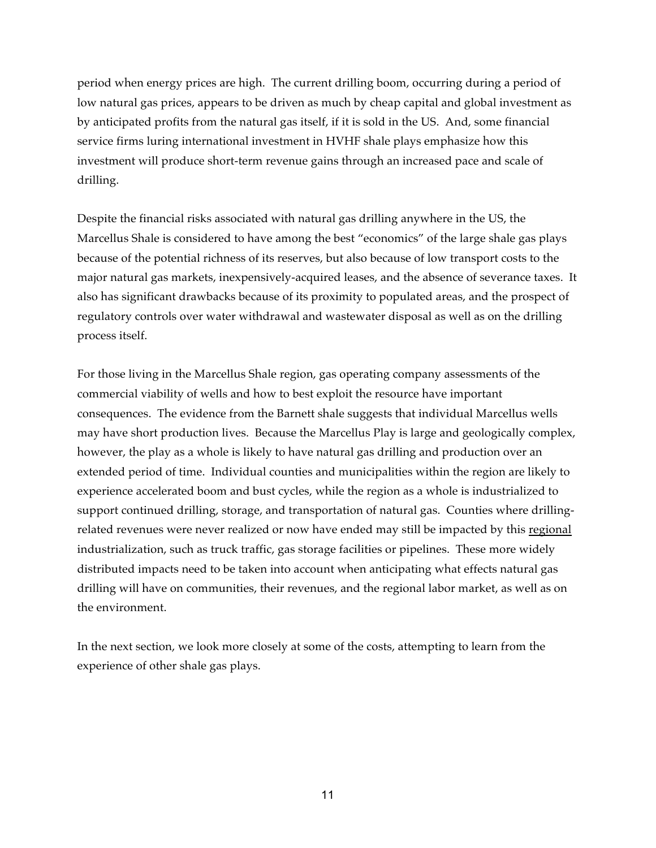period when energy prices are high. The current drilling boom, occurring during a period of low natural gas prices, appears to be driven as much by cheap capital and global investment as by anticipated profits from the natural gas itself, if it is sold in the US. And, some financial service firms luring international investment in HVHF shale plays emphasize how this investment will produce short-term revenue gains through an increased pace and scale of drilling.

Despite the financial risks associated with natural gas drilling anywhere in the US, the Marcellus Shale is considered to have among the best "economics" of the large shale gas plays because of the potential richness of its reserves, but also because of low transport costs to the major natural gas markets, inexpensively-acquired leases, and the absence of severance taxes. It also has significant drawbacks because of its proximity to populated areas, and the prospect of regulatory controls over water withdrawal and wastewater disposal as well as on the drilling process itself.

For those living in the Marcellus Shale region, gas operating company assessments of the commercial viability of wells and how to best exploit the resource have important consequences. The evidence from the Barnett shale suggests that individual Marcellus wells may have short production lives. Because the Marcellus Play is large and geologically complex, however, the play as a whole is likely to have natural gas drilling and production over an extended period of time. Individual counties and municipalities within the region are likely to experience accelerated boom and bust cycles, while the region as a whole is industrialized to support continued drilling, storage, and transportation of natural gas. Counties where drillingrelated revenues were never realized or now have ended may still be impacted by this regional industrialization, such as truck traffic, gas storage facilities or pipelines. These more widely distributed impacts need to be taken into account when anticipating what effects natural gas drilling will have on communities, their revenues, and the regional labor market, as well as on the environment.

In the next section, we look more closely at some of the costs, attempting to learn from the experience of other shale gas plays.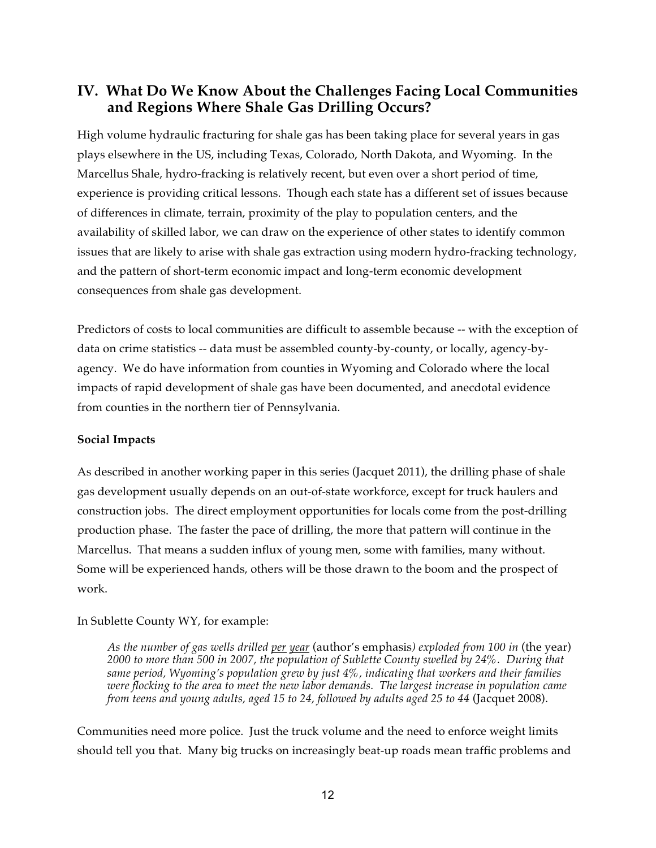# **IV. What Do We Know About the Challenges Facing Local Communities and Regions Where Shale Gas Drilling Occurs?**

High volume hydraulic fracturing for shale gas has been taking place for several years in gas plays elsewhere in the US, including Texas, Colorado, North Dakota, and Wyoming. In the Marcellus Shale, hydro-fracking is relatively recent, but even over a short period of time, experience is providing critical lessons. Though each state has a different set of issues because of differences in climate, terrain, proximity of the play to population centers, and the availability of skilled labor, we can draw on the experience of other states to identify common issues that are likely to arise with shale gas extraction using modern hydro-fracking technology, and the pattern of short-term economic impact and long-term economic development consequences from shale gas development.

Predictors of costs to local communities are difficult to assemble because -- with the exception of data on crime statistics -- data must be assembled county-by-county, or locally, agency-byagency. We do have information from counties in Wyoming and Colorado where the local impacts of rapid development of shale gas have been documented, and anecdotal evidence from counties in the northern tier of Pennsylvania.

#### **Social Impacts**

As described in another working paper in this series (Jacquet 2011), the drilling phase of shale gas development usually depends on an out-of-state workforce, except for truck haulers and construction jobs. The direct employment opportunities for locals come from the post-drilling production phase. The faster the pace of drilling, the more that pattern will continue in the Marcellus. That means a sudden influx of young men, some with families, many without. Some will be experienced hands, others will be those drawn to the boom and the prospect of work.

#### In Sublette County WY, for example:

*As the number of gas wells drilled per year* (author's emphasis*) exploded from 100 in* (the year) *2000 to more than 500 in 2007, the population of Sublette County swelled by 24%. During that same period, Wyoming's population grew by just 4%, indicating that workers and their families were flocking to the area to meet the new labor demands. The largest increase in population came from teens and young adults, aged 15 to 24, followed by adults aged 25 to 44* (Jacquet 2008).

Communities need more police. Just the truck volume and the need to enforce weight limits should tell you that. Many big trucks on increasingly beat-up roads mean traffic problems and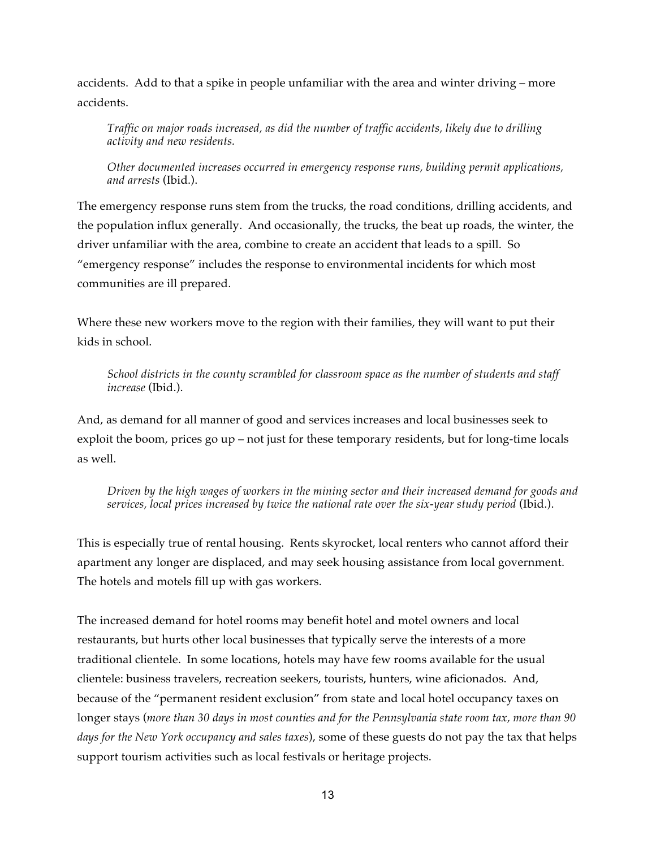accidents. Add to that a spike in people unfamiliar with the area and winter driving – more accidents.

*Traffic on major roads increased, as did the number of traffic accidents, likely due to drilling activity and new residents.*

*Other documented increases occurred in emergency response runs, building permit applications, and arrests* (Ibid.).

The emergency response runs stem from the trucks, the road conditions, drilling accidents, and the population influx generally. And occasionally, the trucks, the beat up roads, the winter, the driver unfamiliar with the area, combine to create an accident that leads to a spill. So "emergency response" includes the response to environmental incidents for which most communities are ill prepared.

Where these new workers move to the region with their families, they will want to put their kids in school.

*School districts in the county scrambled for classroom space as the number of students and staff increase* (Ibid.).

And, as demand for all manner of good and services increases and local businesses seek to exploit the boom, prices go up – not just for these temporary residents, but for long-time locals as well.

*Driven by the high wages of workers in the mining sector and their increased demand for goods and services, local prices increased by twice the national rate over the six-year study period* (Ibid.).

This is especially true of rental housing. Rents skyrocket, local renters who cannot afford their apartment any longer are displaced, and may seek housing assistance from local government. The hotels and motels fill up with gas workers.

The increased demand for hotel rooms may benefit hotel and motel owners and local restaurants, but hurts other local businesses that typically serve the interests of a more traditional clientele. In some locations, hotels may have few rooms available for the usual clientele: business travelers, recreation seekers, tourists, hunters, wine aficionados. And, because of the "permanent resident exclusion" from state and local hotel occupancy taxes on longer stays (*more than 30 days in most counties and for the Pennsylvania state room tax, more than 90 days for the New York occupancy and sales taxes*), some of these guests do not pay the tax that helps support tourism activities such as local festivals or heritage projects.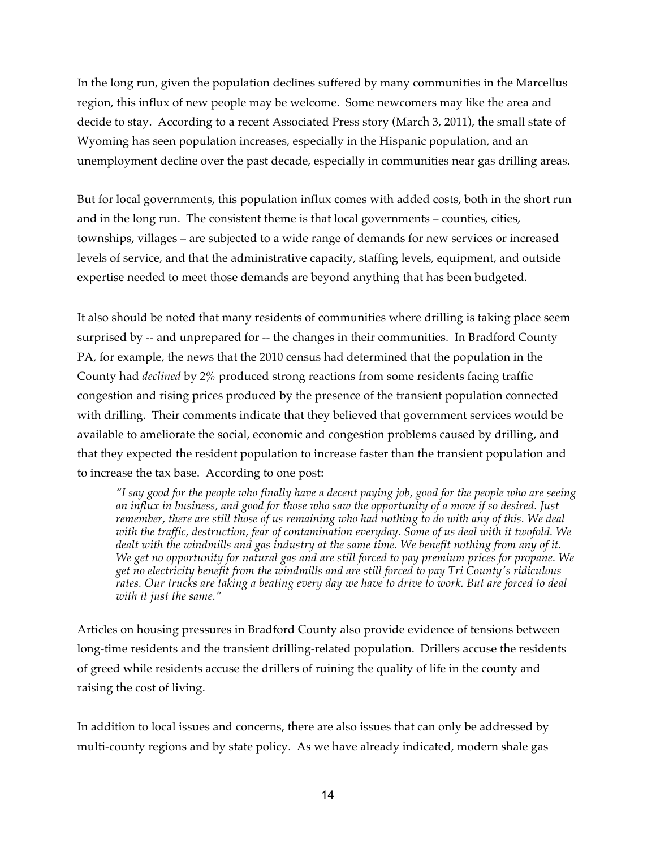In the long run, given the population declines suffered by many communities in the Marcellus region, this influx of new people may be welcome. Some newcomers may like the area and decide to stay. According to a recent Associated Press story (March 3, 2011), the small state of Wyoming has seen population increases, especially in the Hispanic population, and an unemployment decline over the past decade, especially in communities near gas drilling areas.

But for local governments, this population influx comes with added costs, both in the short run and in the long run. The consistent theme is that local governments – counties, cities, townships, villages – are subjected to a wide range of demands for new services or increased levels of service, and that the administrative capacity, staffing levels, equipment, and outside expertise needed to meet those demands are beyond anything that has been budgeted.

It also should be noted that many residents of communities where drilling is taking place seem surprised by -- and unprepared for -- the changes in their communities. In Bradford County PA, for example, the news that the 2010 census had determined that the population in the County had *declined* by 2% produced strong reactions from some residents facing traffic congestion and rising prices produced by the presence of the transient population connected with drilling. Their comments indicate that they believed that government services would be available to ameliorate the social, economic and congestion problems caused by drilling, and that they expected the resident population to increase faster than the transient population and to increase the tax base. According to one post:

*"I say good for the people who finally have a decent paying job, good for the people who are seeing an influx in business, and good for those who saw the opportunity of a move if so desired. Just remember, there are still those of us remaining who had nothing to do with any of this. We deal with the traffic, destruction, fear of contamination everyday. Some of us deal with it twofold. We dealt with the windmills and gas industry at the same time. We benefit nothing from any of it. We get no opportunity for natural gas and are still forced to pay premium prices for propane. We get no electricity benefit from the windmills and are still forced to pay Tri County's ridiculous rates. Our trucks are taking a beating every day we have to drive to work. But are forced to deal with it just the same."*

Articles on housing pressures in Bradford County also provide evidence of tensions between long-time residents and the transient drilling-related population. Drillers accuse the residents of greed while residents accuse the drillers of ruining the quality of life in the county and raising the cost of living.

In addition to local issues and concerns, there are also issues that can only be addressed by multi-county regions and by state policy. As we have already indicated, modern shale gas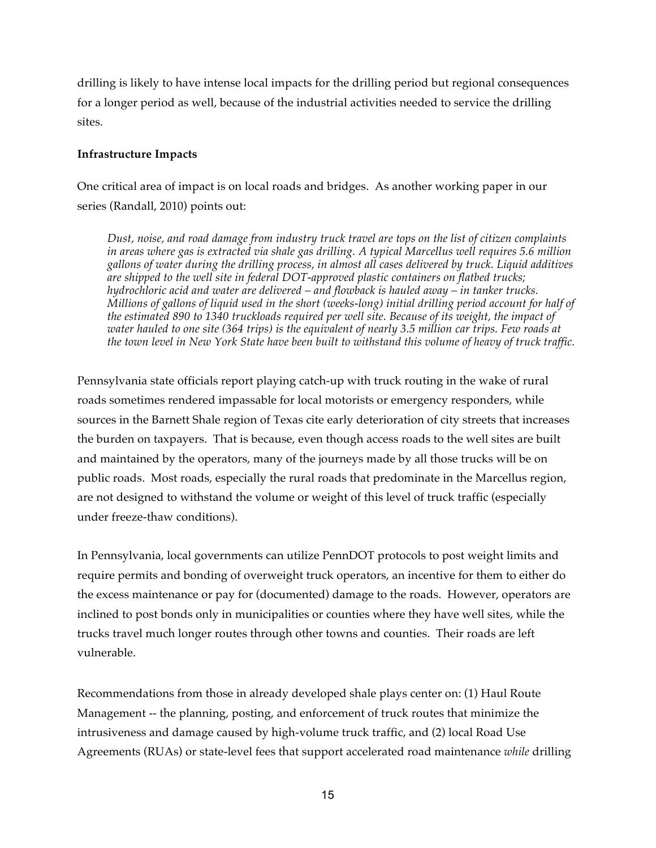drilling is likely to have intense local impacts for the drilling period but regional consequences for a longer period as well, because of the industrial activities needed to service the drilling sites.

#### **Infrastructure Impacts**

One critical area of impact is on local roads and bridges. As another working paper in our series (Randall, 2010) points out:

*Dust, noise, and road damage from industry truck travel are tops on the list of citizen complaints in areas where gas is extracted via shale gas drilling. A typical Marcellus well requires 5.6 million gallons of water during the drilling process, in almost all cases delivered by truck. Liquid additives are shipped to the well site in federal DOT-approved plastic containers on flatbed trucks; hydrochloric acid and water are delivered – and flowback is hauled away – in tanker trucks. Millions of gallons of liquid used in the short (weeks-long) initial drilling period account for half of the estimated 890 to 1340 truckloads required per well site. Because of its weight, the impact of water hauled to one site (364 trips) is the equivalent of nearly 3.5 million car trips. Few roads at the town level in New York State have been built to withstand this volume of heavy of truck traffic.*

Pennsylvania state officials report playing catch-up with truck routing in the wake of rural roads sometimes rendered impassable for local motorists or emergency responders, while sources in the Barnett Shale region of Texas cite early deterioration of city streets that increases the burden on taxpayers. That is because, even though access roads to the well sites are built and maintained by the operators, many of the journeys made by all those trucks will be on public roads. Most roads, especially the rural roads that predominate in the Marcellus region, are not designed to withstand the volume or weight of this level of truck traffic (especially under freeze-thaw conditions).

In Pennsylvania, local governments can utilize PennDOT protocols to post weight limits and require permits and bonding of overweight truck operators, an incentive for them to either do the excess maintenance or pay for (documented) damage to the roads. However, operators are inclined to post bonds only in municipalities or counties where they have well sites, while the trucks travel much longer routes through other towns and counties. Their roads are left vulnerable.

Recommendations from those in already developed shale plays center on: (1) Haul Route Management -- the planning, posting, and enforcement of truck routes that minimize the intrusiveness and damage caused by high-volume truck traffic, and (2) local Road Use Agreements (RUAs) or state-level fees that support accelerated road maintenance *while* drilling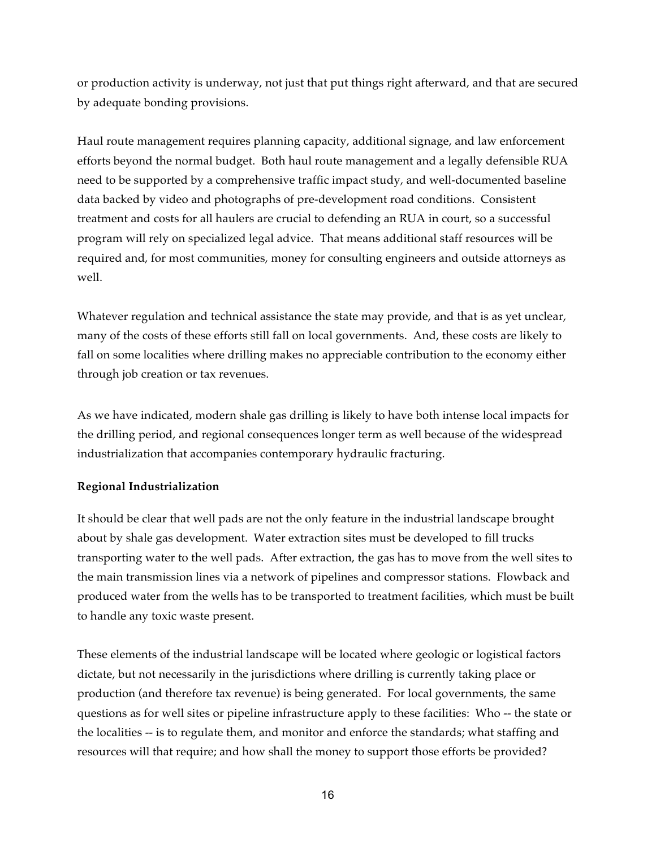or production activity is underway, not just that put things right afterward, and that are secured by adequate bonding provisions.

Haul route management requires planning capacity, additional signage, and law enforcement efforts beyond the normal budget. Both haul route management and a legally defensible RUA need to be supported by a comprehensive traffic impact study, and well-documented baseline data backed by video and photographs of pre-development road conditions. Consistent treatment and costs for all haulers are crucial to defending an RUA in court, so a successful program will rely on specialized legal advice. That means additional staff resources will be required and, for most communities, money for consulting engineers and outside attorneys as well.

Whatever regulation and technical assistance the state may provide, and that is as yet unclear, many of the costs of these efforts still fall on local governments. And, these costs are likely to fall on some localities where drilling makes no appreciable contribution to the economy either through job creation or tax revenues.

As we have indicated, modern shale gas drilling is likely to have both intense local impacts for the drilling period, and regional consequences longer term as well because of the widespread industrialization that accompanies contemporary hydraulic fracturing.

#### **Regional Industrialization**

It should be clear that well pads are not the only feature in the industrial landscape brought about by shale gas development. Water extraction sites must be developed to fill trucks transporting water to the well pads. After extraction, the gas has to move from the well sites to the main transmission lines via a network of pipelines and compressor stations. Flowback and produced water from the wells has to be transported to treatment facilities, which must be built to handle any toxic waste present.

These elements of the industrial landscape will be located where geologic or logistical factors dictate, but not necessarily in the jurisdictions where drilling is currently taking place or production (and therefore tax revenue) is being generated. For local governments, the same questions as for well sites or pipeline infrastructure apply to these facilities: Who -- the state or the localities -- is to regulate them, and monitor and enforce the standards; what staffing and resources will that require; and how shall the money to support those efforts be provided?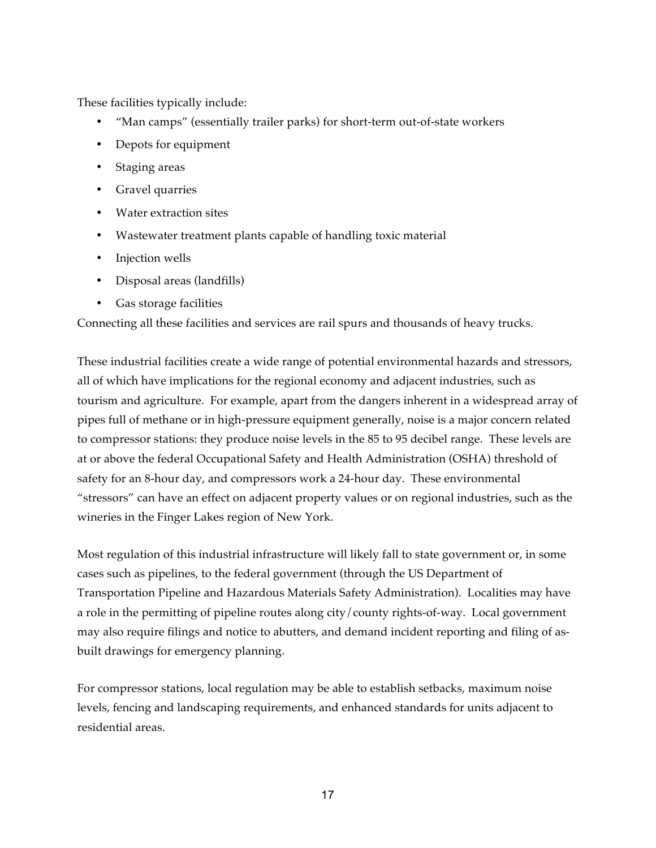These facilities typically include:

- "Man camps" (essentially trailer parks) for short-term out-of-state workers
- Depots for equipment
- Staging areas
- Gravel quarries
- Water extraction sites
- Wastewater treatment plants capable of handling toxic material
- Injection wells
- Disposal areas (landfills)
- Gas storage facilities

Connecting all these facilities and services are rail spurs and thousands of heavy trucks.

These industrial facilities create a wide range of potential environmental hazards and stressors, all of which have implications for the regional economy and adjacent industries, such as tourism and agriculture. For example, apart from the dangers inherent in a widespread array of pipes full of methane or in high-pressure equipment generally, noise is a major concern related to compressor stations: they produce noise levels in the 85 to 95 decibel range. These levels are at or above the federal Occupational Safety and Health Administration (OSHA) threshold of safety for an 8-hour day, and compressors work a 24-hour day. These environmental "stressors" can have an effect on adjacent property values or on regional industries, such as the wineries in the Finger Lakes region of New York.

Most regulation of this industrial infrastructure will likely fall to state government or, in some cases such as pipelines, to the federal government (through the US Department of Transportation Pipeline and Hazardous Materials Safety Administration). Localities may have a role in the permitting of pipeline routes along city/county rights-of-way. Local government may also require filings and notice to abutters, and demand incident reporting and filing of asbuilt drawings for emergency planning.

For compressor stations, local regulation may be able to establish setbacks, maximum noise levels, fencing and landscaping requirements, and enhanced standards for units adjacent to residential areas.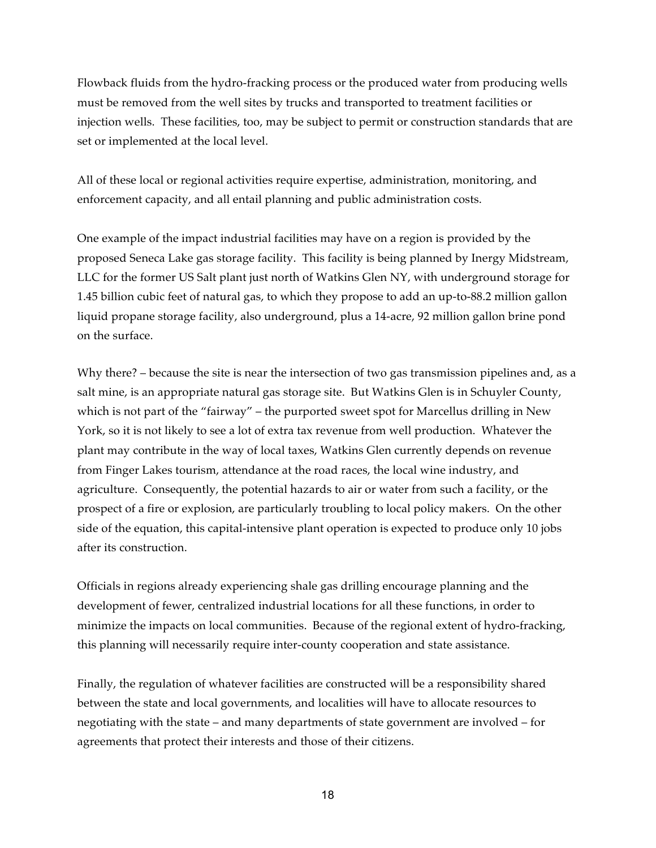Flowback fluids from the hydro-fracking process or the produced water from producing wells must be removed from the well sites by trucks and transported to treatment facilities or injection wells. These facilities, too, may be subject to permit or construction standards that are set or implemented at the local level.

All of these local or regional activities require expertise, administration, monitoring, and enforcement capacity, and all entail planning and public administration costs.

One example of the impact industrial facilities may have on a region is provided by the proposed Seneca Lake gas storage facility. This facility is being planned by Inergy Midstream, LLC for the former US Salt plant just north of Watkins Glen NY, with underground storage for 1.45 billion cubic feet of natural gas, to which they propose to add an up-to-88.2 million gallon liquid propane storage facility, also underground, plus a 14-acre, 92 million gallon brine pond on the surface.

Why there? – because the site is near the intersection of two gas transmission pipelines and, as a salt mine, is an appropriate natural gas storage site. But Watkins Glen is in Schuyler County, which is not part of the "fairway" – the purported sweet spot for Marcellus drilling in New York, so it is not likely to see a lot of extra tax revenue from well production. Whatever the plant may contribute in the way of local taxes, Watkins Glen currently depends on revenue from Finger Lakes tourism, attendance at the road races, the local wine industry, and agriculture. Consequently, the potential hazards to air or water from such a facility, or the prospect of a fire or explosion, are particularly troubling to local policy makers. On the other side of the equation, this capital-intensive plant operation is expected to produce only 10 jobs after its construction.

Officials in regions already experiencing shale gas drilling encourage planning and the development of fewer, centralized industrial locations for all these functions, in order to minimize the impacts on local communities. Because of the regional extent of hydro-fracking, this planning will necessarily require inter-county cooperation and state assistance.

Finally, the regulation of whatever facilities are constructed will be a responsibility shared between the state and local governments, and localities will have to allocate resources to negotiating with the state – and many departments of state government are involved – for agreements that protect their interests and those of their citizens.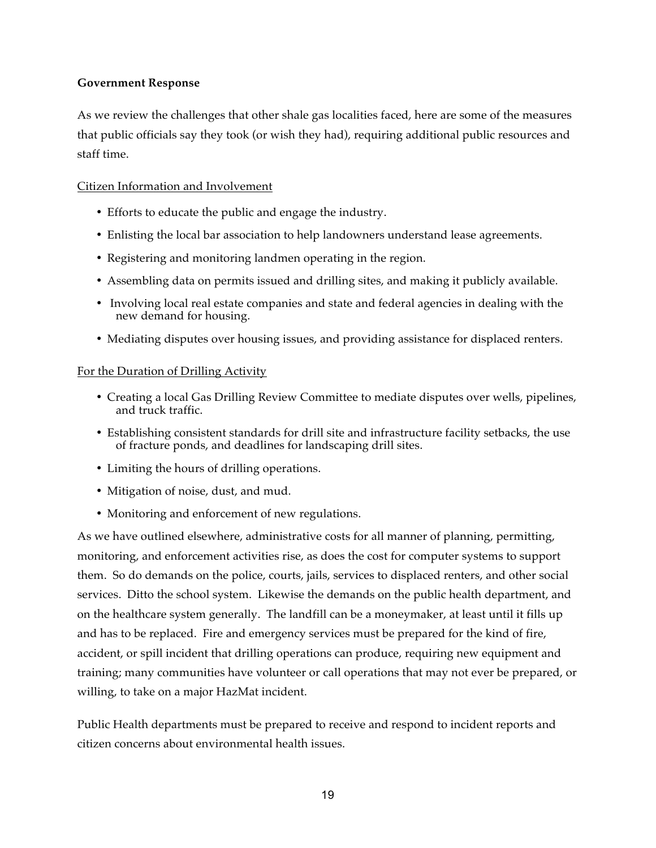#### **Government Response**

As we review the challenges that other shale gas localities faced, here are some of the measures that public officials say they took (or wish they had), requiring additional public resources and staff time.

#### Citizen Information and Involvement

- Efforts to educate the public and engage the industry.
- Enlisting the local bar association to help landowners understand lease agreements.
- Registering and monitoring landmen operating in the region.
- Assembling data on permits issued and drilling sites, and making it publicly available.
- Involving local real estate companies and state and federal agencies in dealing with the new demand for housing.
- Mediating disputes over housing issues, and providing assistance for displaced renters.

#### For the Duration of Drilling Activity

- Creating a local Gas Drilling Review Committee to mediate disputes over wells, pipelines, and truck traffic.
- Establishing consistent standards for drill site and infrastructure facility setbacks, the use of fracture ponds, and deadlines for landscaping drill sites.
- Limiting the hours of drilling operations.
- Mitigation of noise, dust, and mud.
- Monitoring and enforcement of new regulations.

As we have outlined elsewhere, administrative costs for all manner of planning, permitting, monitoring, and enforcement activities rise, as does the cost for computer systems to support them. So do demands on the police, courts, jails, services to displaced renters, and other social services. Ditto the school system. Likewise the demands on the public health department, and on the healthcare system generally. The landfill can be a moneymaker, at least until it fills up and has to be replaced. Fire and emergency services must be prepared for the kind of fire, accident, or spill incident that drilling operations can produce, requiring new equipment and training; many communities have volunteer or call operations that may not ever be prepared, or willing, to take on a major HazMat incident.

Public Health departments must be prepared to receive and respond to incident reports and citizen concerns about environmental health issues.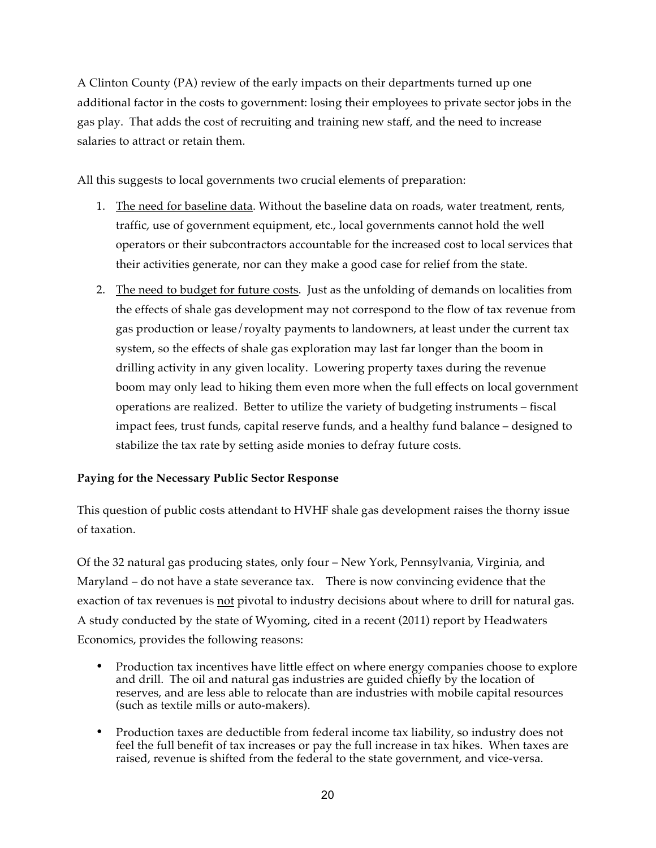A Clinton County (PA) review of the early impacts on their departments turned up one additional factor in the costs to government: losing their employees to private sector jobs in the gas play. That adds the cost of recruiting and training new staff, and the need to increase salaries to attract or retain them.

All this suggests to local governments two crucial elements of preparation:

- 1. The need for baseline data. Without the baseline data on roads, water treatment, rents, traffic, use of government equipment, etc., local governments cannot hold the well operators or their subcontractors accountable for the increased cost to local services that their activities generate, nor can they make a good case for relief from the state.
- 2. The need to budget for future costs. Just as the unfolding of demands on localities from the effects of shale gas development may not correspond to the flow of tax revenue from gas production or lease/royalty payments to landowners, at least under the current tax system, so the effects of shale gas exploration may last far longer than the boom in drilling activity in any given locality. Lowering property taxes during the revenue boom may only lead to hiking them even more when the full effects on local government operations are realized. Better to utilize the variety of budgeting instruments – fiscal impact fees, trust funds, capital reserve funds, and a healthy fund balance – designed to stabilize the tax rate by setting aside monies to defray future costs.

#### **Paying for the Necessary Public Sector Response**

This question of public costs attendant to HVHF shale gas development raises the thorny issue of taxation.

Of the 32 natural gas producing states, only four – New York, Pennsylvania, Virginia, and Maryland – do not have a state severance tax. There is now convincing evidence that the exaction of tax revenues is not pivotal to industry decisions about where to drill for natural gas. A study conducted by the state of Wyoming, cited in a recent (2011) report by Headwaters Economics, provides the following reasons:

- Production tax incentives have little effect on where energy companies choose to explore and drill. The oil and natural gas industries are guided chiefly by the location of reserves, and are less able to relocate than are industries with mobile capital resources (such as textile mills or auto-makers).
- Production taxes are deductible from federal income tax liability, so industry does not feel the full benefit of tax increases or pay the full increase in tax hikes. When taxes are raised, revenue is shifted from the federal to the state government, and vice-versa.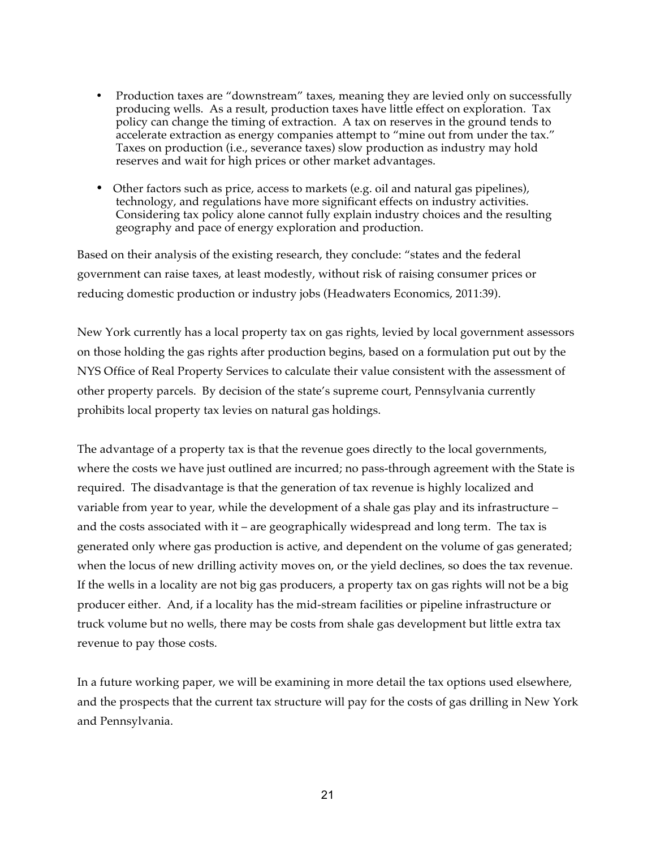- Production taxes are "downstream" taxes, meaning they are levied only on successfully producing wells. As a result, production taxes have little effect on exploration. Tax policy can change the timing of extraction. A tax on reserves in the ground tends to accelerate extraction as energy companies attempt to "mine out from under the tax." Taxes on production (i.e., severance taxes) slow production as industry may hold reserves and wait for high prices or other market advantages.
- Other factors such as price, access to markets (e.g. oil and natural gas pipelines), technology, and regulations have more significant effects on industry activities. Considering tax policy alone cannot fully explain industry choices and the resulting geography and pace of energy exploration and production.

Based on their analysis of the existing research, they conclude: "states and the federal government can raise taxes, at least modestly, without risk of raising consumer prices or reducing domestic production or industry jobs (Headwaters Economics, 2011:39).

New York currently has a local property tax on gas rights, levied by local government assessors on those holding the gas rights after production begins, based on a formulation put out by the NYS Office of Real Property Services to calculate their value consistent with the assessment of other property parcels. By decision of the state's supreme court, Pennsylvania currently prohibits local property tax levies on natural gas holdings.

The advantage of a property tax is that the revenue goes directly to the local governments, where the costs we have just outlined are incurred; no pass-through agreement with the State is required. The disadvantage is that the generation of tax revenue is highly localized and variable from year to year, while the development of a shale gas play and its infrastructure – and the costs associated with it – are geographically widespread and long term. The tax is generated only where gas production is active, and dependent on the volume of gas generated; when the locus of new drilling activity moves on, or the yield declines, so does the tax revenue. If the wells in a locality are not big gas producers, a property tax on gas rights will not be a big producer either. And, if a locality has the mid-stream facilities or pipeline infrastructure or truck volume but no wells, there may be costs from shale gas development but little extra tax revenue to pay those costs.

In a future working paper, we will be examining in more detail the tax options used elsewhere, and the prospects that the current tax structure will pay for the costs of gas drilling in New York and Pennsylvania.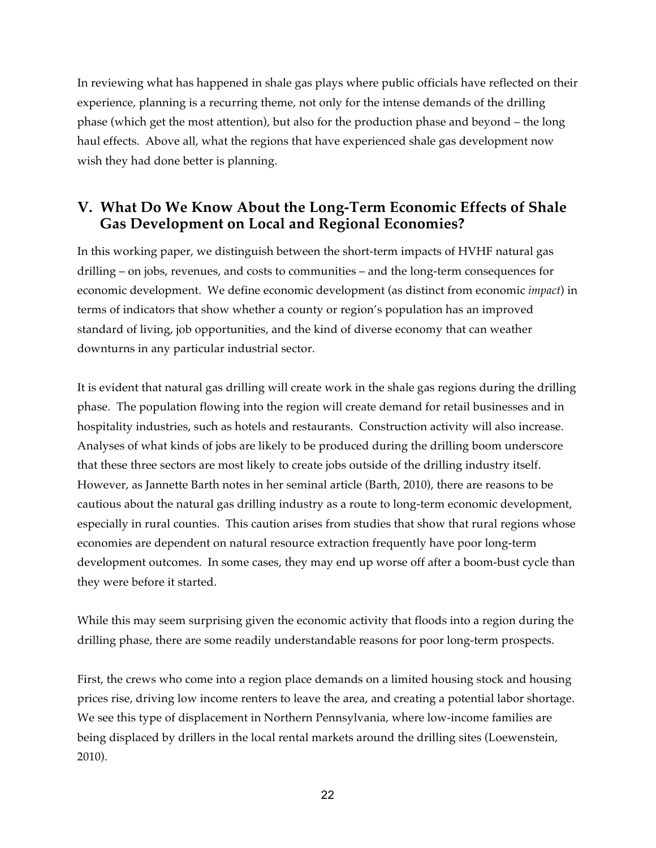In reviewing what has happened in shale gas plays where public officials have reflected on their experience, planning is a recurring theme, not only for the intense demands of the drilling phase (which get the most attention), but also for the production phase and beyond – the long haul effects. Above all, what the regions that have experienced shale gas development now wish they had done better is planning.

# **V. What Do We Know About the Long-Term Economic Effects of Shale Gas Development on Local and Regional Economies?**

In this working paper, we distinguish between the short-term impacts of HVHF natural gas drilling – on jobs, revenues, and costs to communities – and the long-term consequences for economic development. We define economic development (as distinct from economic *impact*) in terms of indicators that show whether a county or region's population has an improved standard of living, job opportunities, and the kind of diverse economy that can weather downturns in any particular industrial sector.

It is evident that natural gas drilling will create work in the shale gas regions during the drilling phase. The population flowing into the region will create demand for retail businesses and in hospitality industries, such as hotels and restaurants. Construction activity will also increase. Analyses of what kinds of jobs are likely to be produced during the drilling boom underscore that these three sectors are most likely to create jobs outside of the drilling industry itself. However, as Jannette Barth notes in her seminal article (Barth, 2010), there are reasons to be cautious about the natural gas drilling industry as a route to long-term economic development, especially in rural counties. This caution arises from studies that show that rural regions whose economies are dependent on natural resource extraction frequently have poor long-term development outcomes. In some cases, they may end up worse off after a boom-bust cycle than they were before it started.

While this may seem surprising given the economic activity that floods into a region during the drilling phase, there are some readily understandable reasons for poor long-term prospects.

First, the crews who come into a region place demands on a limited housing stock and housing prices rise, driving low income renters to leave the area, and creating a potential labor shortage. We see this type of displacement in Northern Pennsylvania, where low-income families are being displaced by drillers in the local rental markets around the drilling sites (Loewenstein, 2010).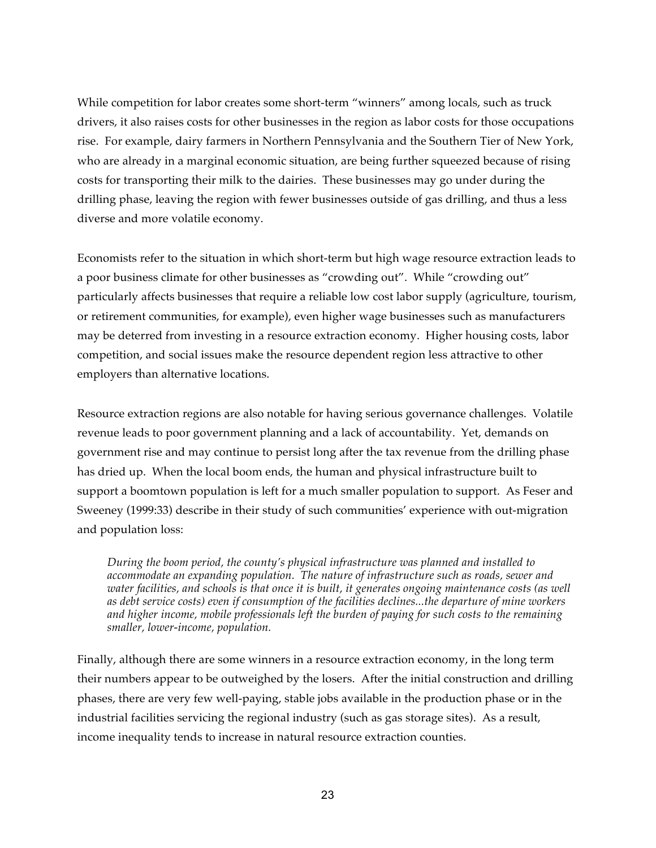While competition for labor creates some short-term "winners" among locals, such as truck drivers, it also raises costs for other businesses in the region as labor costs for those occupations rise. For example, dairy farmers in Northern Pennsylvania and the Southern Tier of New York, who are already in a marginal economic situation, are being further squeezed because of rising costs for transporting their milk to the dairies. These businesses may go under during the drilling phase, leaving the region with fewer businesses outside of gas drilling, and thus a less diverse and more volatile economy.

Economists refer to the situation in which short-term but high wage resource extraction leads to a poor business climate for other businesses as "crowding out". While "crowding out" particularly affects businesses that require a reliable low cost labor supply (agriculture, tourism, or retirement communities, for example), even higher wage businesses such as manufacturers may be deterred from investing in a resource extraction economy. Higher housing costs, labor competition, and social issues make the resource dependent region less attractive to other employers than alternative locations.

Resource extraction regions are also notable for having serious governance challenges. Volatile revenue leads to poor government planning and a lack of accountability. Yet, demands on government rise and may continue to persist long after the tax revenue from the drilling phase has dried up. When the local boom ends, the human and physical infrastructure built to support a boomtown population is left for a much smaller population to support. As Feser and Sweeney (1999:33) describe in their study of such communities' experience with out-migration and population loss:

*During the boom period, the county's physical infrastructure was planned and installed to accommodate an expanding population. The nature of infrastructure such as roads, sewer and water facilities, and schools is that once it is built, it generates ongoing maintenance costs (as well as debt service costs) even if consumption of the facilities declines...the departure of mine workers and higher income, mobile professionals left the burden of paying for such costs to the remaining smaller, lower-income, population.*

Finally, although there are some winners in a resource extraction economy, in the long term their numbers appear to be outweighed by the losers. After the initial construction and drilling phases, there are very few well-paying, stable jobs available in the production phase or in the industrial facilities servicing the regional industry (such as gas storage sites). As a result, income inequality tends to increase in natural resource extraction counties.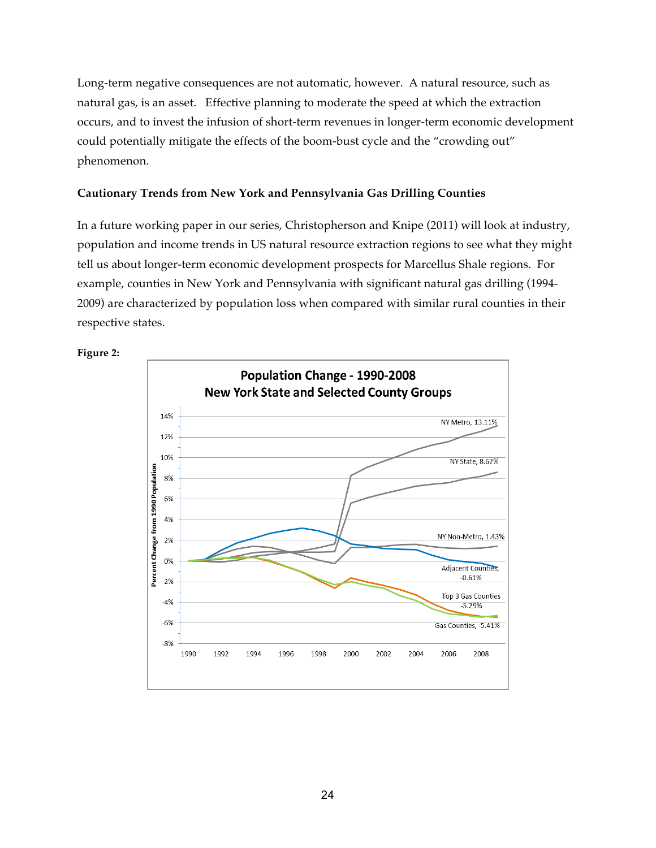Long-term negative consequences are not automatic, however. A natural resource, such as natural gas, is an asset. Effective planning to moderate the speed at which the extraction occurs, and to invest the infusion of short-term revenues in longer-term economic development could potentially mitigate the effects of the boom-bust cycle and the "crowding out" phenomenon.

#### **Cautionary Trends from New York and Pennsylvania Gas Drilling Counties**

In a future working paper in our series, Christopherson and Knipe (2011) will look at industry, population and income trends in US natural resource extraction regions to see what they might tell us about longer-term economic development prospects for Marcellus Shale regions. For example, counties in New York and Pennsylvania with significant natural gas drilling (1994- 2009) are characterized by population loss when compared with similar rural counties in their respective states.



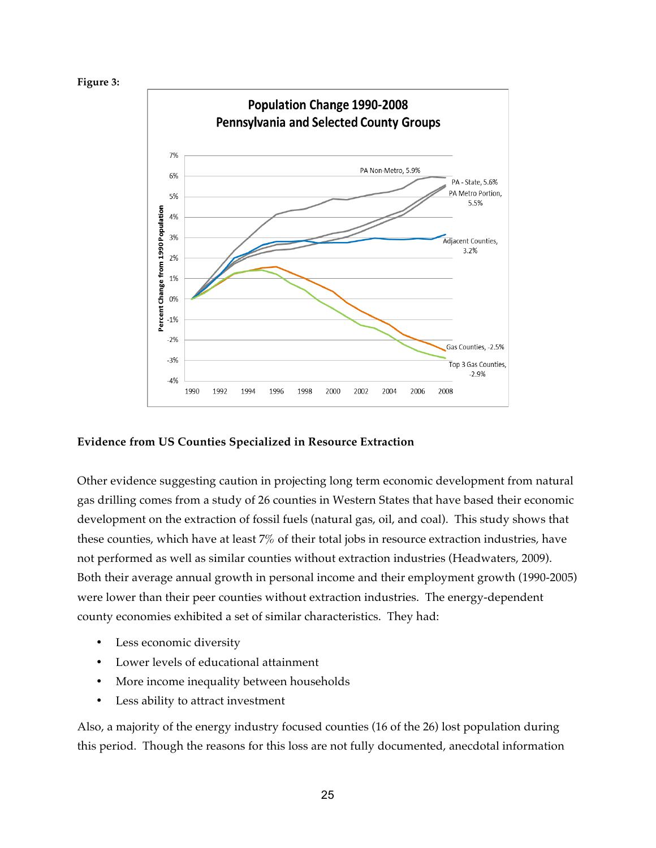#### **Figure 3:**



#### **Evidence from US Counties Specialized in Resource Extraction**

Other evidence suggesting caution in projecting long term economic development from natural gas drilling comes from a study of 26 counties in Western States that have based their economic development on the extraction of fossil fuels (natural gas, oil, and coal). This study shows that these counties, which have at least 7% of their total jobs in resource extraction industries, have not performed as well as similar counties without extraction industries (Headwaters, 2009). Both their average annual growth in personal income and their employment growth (1990-2005) were lower than their peer counties without extraction industries. The energy-dependent county economies exhibited a set of similar characteristics. They had:

- Less economic diversity
- Lower levels of educational attainment
- More income inequality between households
- Less ability to attract investment

Also, a majority of the energy industry focused counties (16 of the 26) lost population during this period. Though the reasons for this loss are not fully documented, anecdotal information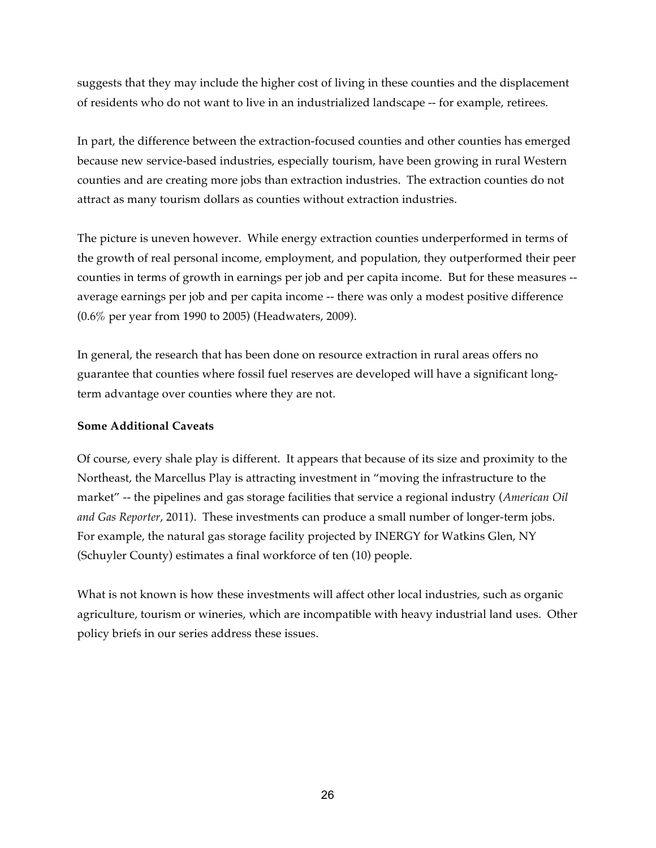suggests that they may include the higher cost of living in these counties and the displacement of residents who do not want to live in an industrialized landscape -- for example, retirees.

In part, the difference between the extraction-focused counties and other counties has emerged because new service-based industries, especially tourism, have been growing in rural Western counties and are creating more jobs than extraction industries. The extraction counties do not attract as many tourism dollars as counties without extraction industries.

The picture is uneven however. While energy extraction counties underperformed in terms of the growth of real personal income, employment, and population, they outperformed their peer counties in terms of growth in earnings per job and per capita income. But for these measures - average earnings per job and per capita income -- there was only a modest positive difference (0.6% per year from 1990 to 2005) (Headwaters, 2009).

In general, the research that has been done on resource extraction in rural areas offers no guarantee that counties where fossil fuel reserves are developed will have a significant longterm advantage over counties where they are not.

#### **Some Additional Caveats**

Of course, every shale play is different. It appears that because of its size and proximity to the Northeast, the Marcellus Play is attracting investment in "moving the infrastructure to the market" -- the pipelines and gas storage facilities that service a regional industry (*American Oil and Gas Reporter*, 2011). These investments can produce a small number of longer-term jobs. For example, the natural gas storage facility projected by INERGY for Watkins Glen, NY (Schuyler County) estimates a final workforce of ten (10) people.

What is not known is how these investments will affect other local industries, such as organic agriculture, tourism or wineries, which are incompatible with heavy industrial land uses. Other policy briefs in our series address these issues.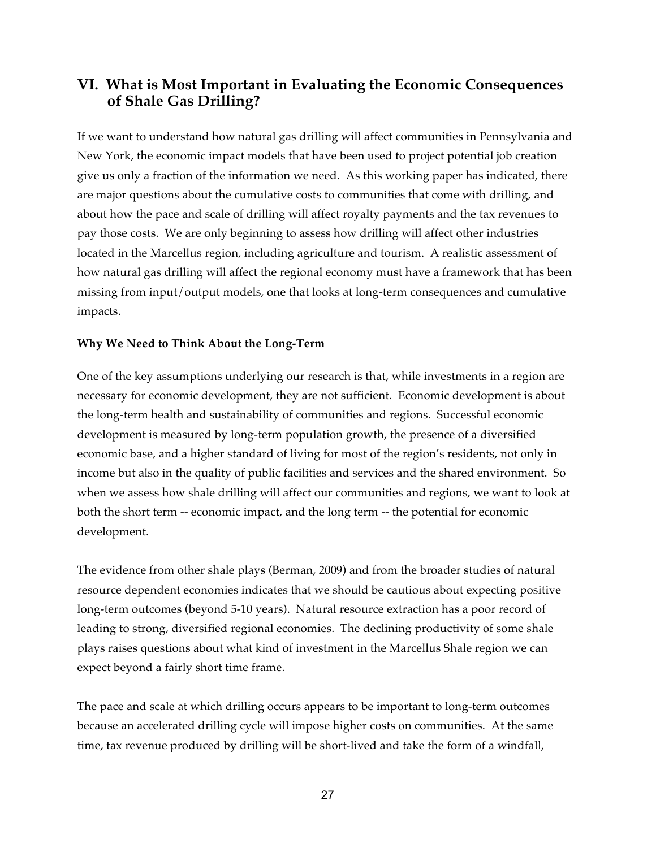# **VI. What is Most Important in Evaluating the Economic Consequences of Shale Gas Drilling?**

If we want to understand how natural gas drilling will affect communities in Pennsylvania and New York, the economic impact models that have been used to project potential job creation give us only a fraction of the information we need. As this working paper has indicated, there are major questions about the cumulative costs to communities that come with drilling, and about how the pace and scale of drilling will affect royalty payments and the tax revenues to pay those costs. We are only beginning to assess how drilling will affect other industries located in the Marcellus region, including agriculture and tourism. A realistic assessment of how natural gas drilling will affect the regional economy must have a framework that has been missing from input/output models, one that looks at long-term consequences and cumulative impacts.

#### **Why We Need to Think About the Long-Term**

One of the key assumptions underlying our research is that, while investments in a region are necessary for economic development, they are not sufficient. Economic development is about the long-term health and sustainability of communities and regions. Successful economic development is measured by long-term population growth, the presence of a diversified economic base, and a higher standard of living for most of the region's residents, not only in income but also in the quality of public facilities and services and the shared environment. So when we assess how shale drilling will affect our communities and regions, we want to look at both the short term -- economic impact, and the long term -- the potential for economic development.

The evidence from other shale plays (Berman, 2009) and from the broader studies of natural resource dependent economies indicates that we should be cautious about expecting positive long-term outcomes (beyond 5-10 years). Natural resource extraction has a poor record of leading to strong, diversified regional economies. The declining productivity of some shale plays raises questions about what kind of investment in the Marcellus Shale region we can expect beyond a fairly short time frame.

The pace and scale at which drilling occurs appears to be important to long-term outcomes because an accelerated drilling cycle will impose higher costs on communities. At the same time, tax revenue produced by drilling will be short-lived and take the form of a windfall,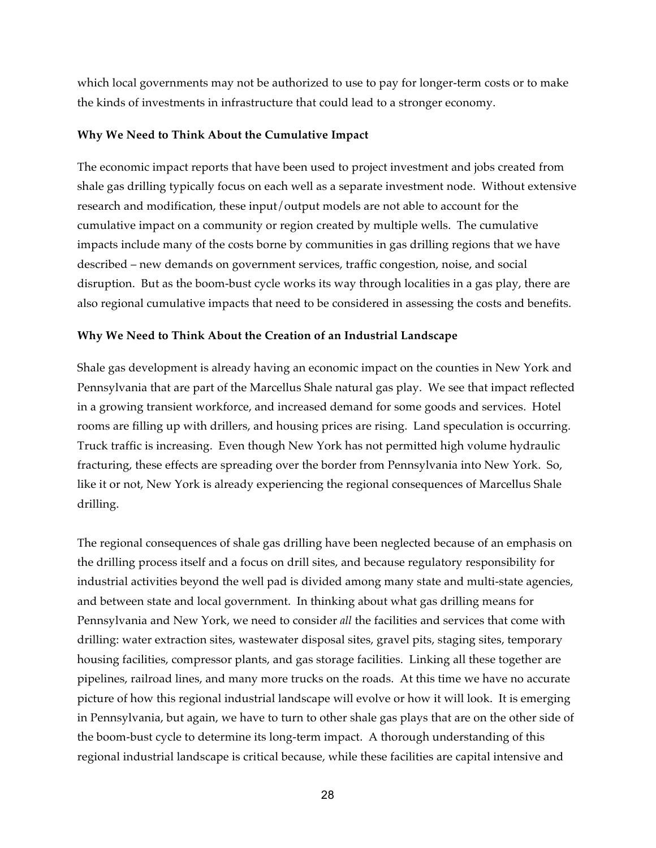which local governments may not be authorized to use to pay for longer-term costs or to make the kinds of investments in infrastructure that could lead to a stronger economy.

#### **Why We Need to Think About the Cumulative Impact**

The economic impact reports that have been used to project investment and jobs created from shale gas drilling typically focus on each well as a separate investment node. Without extensive research and modification, these input/output models are not able to account for the cumulative impact on a community or region created by multiple wells. The cumulative impacts include many of the costs borne by communities in gas drilling regions that we have described – new demands on government services, traffic congestion, noise, and social disruption. But as the boom-bust cycle works its way through localities in a gas play, there are also regional cumulative impacts that need to be considered in assessing the costs and benefits.

#### **Why We Need to Think About the Creation of an Industrial Landscape**

Shale gas development is already having an economic impact on the counties in New York and Pennsylvania that are part of the Marcellus Shale natural gas play. We see that impact reflected in a growing transient workforce, and increased demand for some goods and services. Hotel rooms are filling up with drillers, and housing prices are rising. Land speculation is occurring. Truck traffic is increasing. Even though New York has not permitted high volume hydraulic fracturing, these effects are spreading over the border from Pennsylvania into New York. So, like it or not, New York is already experiencing the regional consequences of Marcellus Shale drilling.

The regional consequences of shale gas drilling have been neglected because of an emphasis on the drilling process itself and a focus on drill sites, and because regulatory responsibility for industrial activities beyond the well pad is divided among many state and multi-state agencies, and between state and local government. In thinking about what gas drilling means for Pennsylvania and New York, we need to consider *all* the facilities and services that come with drilling: water extraction sites, wastewater disposal sites, gravel pits, staging sites, temporary housing facilities, compressor plants, and gas storage facilities. Linking all these together are pipelines, railroad lines, and many more trucks on the roads. At this time we have no accurate picture of how this regional industrial landscape will evolve or how it will look. It is emerging in Pennsylvania, but again, we have to turn to other shale gas plays that are on the other side of the boom-bust cycle to determine its long-term impact. A thorough understanding of this regional industrial landscape is critical because, while these facilities are capital intensive and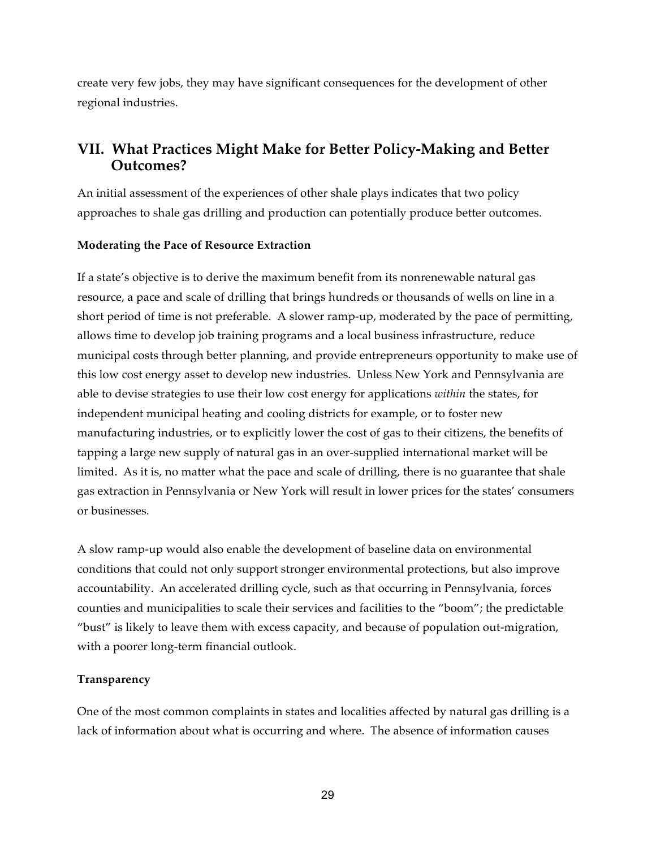create very few jobs, they may have significant consequences for the development of other regional industries.

# **VII. What Practices Might Make for Better Policy-Making and Better Outcomes?**

An initial assessment of the experiences of other shale plays indicates that two policy approaches to shale gas drilling and production can potentially produce better outcomes.

#### **Moderating the Pace of Resource Extraction**

If a state's objective is to derive the maximum benefit from its nonrenewable natural gas resource, a pace and scale of drilling that brings hundreds or thousands of wells on line in a short period of time is not preferable. A slower ramp-up, moderated by the pace of permitting, allows time to develop job training programs and a local business infrastructure, reduce municipal costs through better planning, and provide entrepreneurs opportunity to make use of this low cost energy asset to develop new industries. Unless New York and Pennsylvania are able to devise strategies to use their low cost energy for applications *within* the states, for independent municipal heating and cooling districts for example, or to foster new manufacturing industries, or to explicitly lower the cost of gas to their citizens, the benefits of tapping a large new supply of natural gas in an over-supplied international market will be limited. As it is, no matter what the pace and scale of drilling, there is no guarantee that shale gas extraction in Pennsylvania or New York will result in lower prices for the states' consumers or businesses.

A slow ramp-up would also enable the development of baseline data on environmental conditions that could not only support stronger environmental protections, but also improve accountability. An accelerated drilling cycle, such as that occurring in Pennsylvania, forces counties and municipalities to scale their services and facilities to the "boom"; the predictable "bust" is likely to leave them with excess capacity, and because of population out-migration, with a poorer long-term financial outlook.

#### **Transparency**

One of the most common complaints in states and localities affected by natural gas drilling is a lack of information about what is occurring and where. The absence of information causes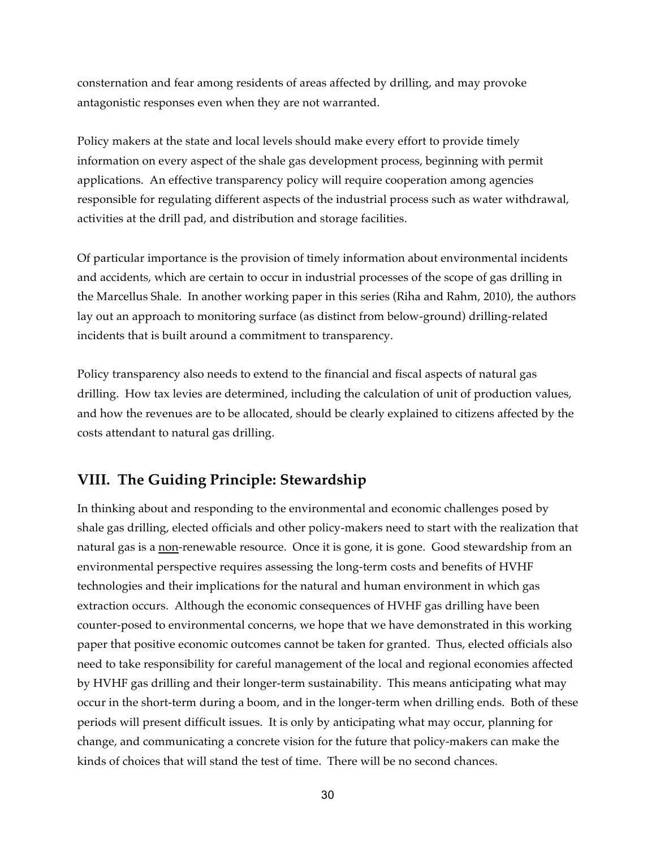consternation and fear among residents of areas affected by drilling, and may provoke antagonistic responses even when they are not warranted.

Policy makers at the state and local levels should make every effort to provide timely information on every aspect of the shale gas development process, beginning with permit applications. An effective transparency policy will require cooperation among agencies responsible for regulating different aspects of the industrial process such as water withdrawal, activities at the drill pad, and distribution and storage facilities.

Of particular importance is the provision of timely information about environmental incidents and accidents, which are certain to occur in industrial processes of the scope of gas drilling in the Marcellus Shale. In another working paper in this series (Riha and Rahm, 2010), the authors lay out an approach to monitoring surface (as distinct from below-ground) drilling-related incidents that is built around a commitment to transparency.

Policy transparency also needs to extend to the financial and fiscal aspects of natural gas drilling. How tax levies are determined, including the calculation of unit of production values, and how the revenues are to be allocated, should be clearly explained to citizens affected by the costs attendant to natural gas drilling.

# **VIII. The Guiding Principle: Stewardship**

In thinking about and responding to the environmental and economic challenges posed by shale gas drilling, elected officials and other policy-makers need to start with the realization that natural gas is a non-renewable resource. Once it is gone, it is gone. Good stewardship from an environmental perspective requires assessing the long-term costs and benefits of HVHF technologies and their implications for the natural and human environment in which gas extraction occurs. Although the economic consequences of HVHF gas drilling have been counter-posed to environmental concerns, we hope that we have demonstrated in this working paper that positive economic outcomes cannot be taken for granted. Thus, elected officials also need to take responsibility for careful management of the local and regional economies affected by HVHF gas drilling and their longer-term sustainability. This means anticipating what may occur in the short-term during a boom, and in the longer-term when drilling ends. Both of these periods will present difficult issues. It is only by anticipating what may occur, planning for change, and communicating a concrete vision for the future that policy-makers can make the kinds of choices that will stand the test of time. There will be no second chances.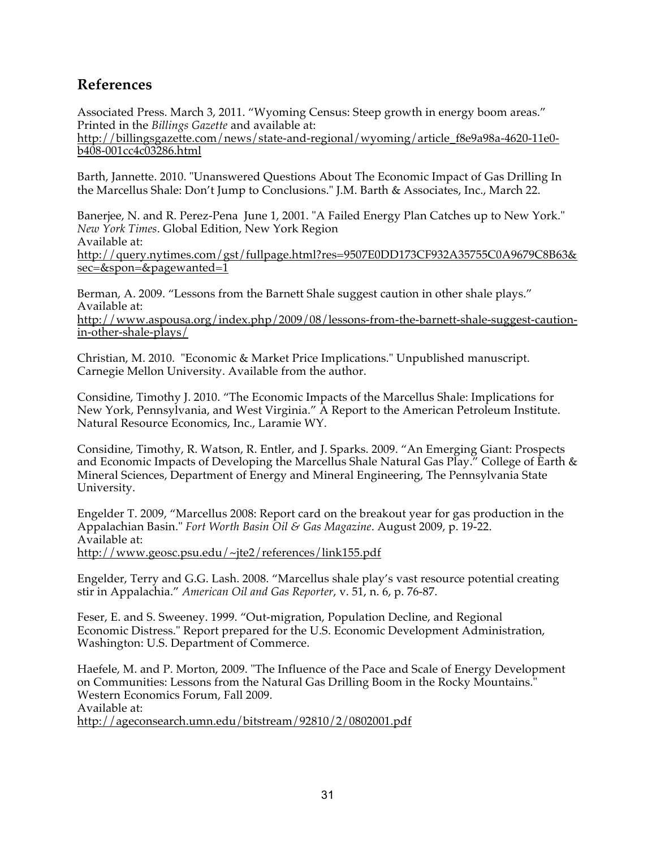# **References**

Associated Press. March 3, 2011. "Wyoming Census: Steep growth in energy boom areas." Printed in the *Billings Gazette* and available at: http://billingsgazette.com/news/state-and-regional/wyoming/article\_f8e9a98a-4620-11e0b408-001cc4c03286.html

Barth, Jannette. 2010. "Unanswered Questions About The Economic Impact of Gas Drilling In the Marcellus Shale: Don't Jump to Conclusions." J.M. Barth & Associates, Inc., March 22.

Banerjee, N. and R. Perez-Pena June 1, 2001. "A Failed Energy Plan Catches up to New York." *New York Times*. Global Edition, New York Region Available at: http://query.nytimes.com/gst/fullpage.html?res=9507E0DD173CF932A35755C0A9679C8B63& sec=&spon=&pagewanted=1

Berman, A. 2009. "Lessons from the Barnett Shale suggest caution in other shale plays." Available at: http://www.aspousa.org/index.php/2009/08/lessons-from-the-barnett-shale-suggest-cautionin-other-shale-plays/

Christian, M. 2010. "Economic & Market Price Implications." Unpublished manuscript. Carnegie Mellon University. Available from the author.

Considine, Timothy J. 2010. "The Economic Impacts of the Marcellus Shale: Implications for New York, Pennsylvania, and West Virginia." A Report to the American Petroleum Institute. Natural Resource Economics, Inc., Laramie WY.

Considine, Timothy, R. Watson, R. Entler, and J. Sparks. 2009. "An Emerging Giant: Prospects and Economic Impacts of Developing the Marcellus Shale Natural Gas Play." College of Earth & Mineral Sciences, Department of Energy and Mineral Engineering, The Pennsylvania State University.

Engelder T. 2009, "Marcellus 2008: Report card on the breakout year for gas production in the Appalachian Basin." *Fort Worth Basin Oil & Gas Magazine*. August 2009, p. 19-22. Available at: http://www.geosc.psu.edu/~jte2/references/link155.pdf

Engelder, Terry and G.G. Lash. 2008. "Marcellus shale play's vast resource potential creating stir in Appalachia." *American Oil and Gas Reporter*, v. 51, n. 6, p. 76-87.

Feser, E. and S. Sweeney. 1999. "Out-migration, Population Decline, and Regional Economic Distress." Report prepared for the U.S. Economic Development Administration, Washington: U.S. Department of Commerce.

Haefele, M. and P. Morton, 2009. "The Influence of the Pace and Scale of Energy Development on Communities: Lessons from the Natural Gas Drilling Boom in the Rocky Mountains." Western Economics Forum, Fall 2009. Available at: http://ageconsearch.umn.edu/bitstream/92810/2/0802001.pdf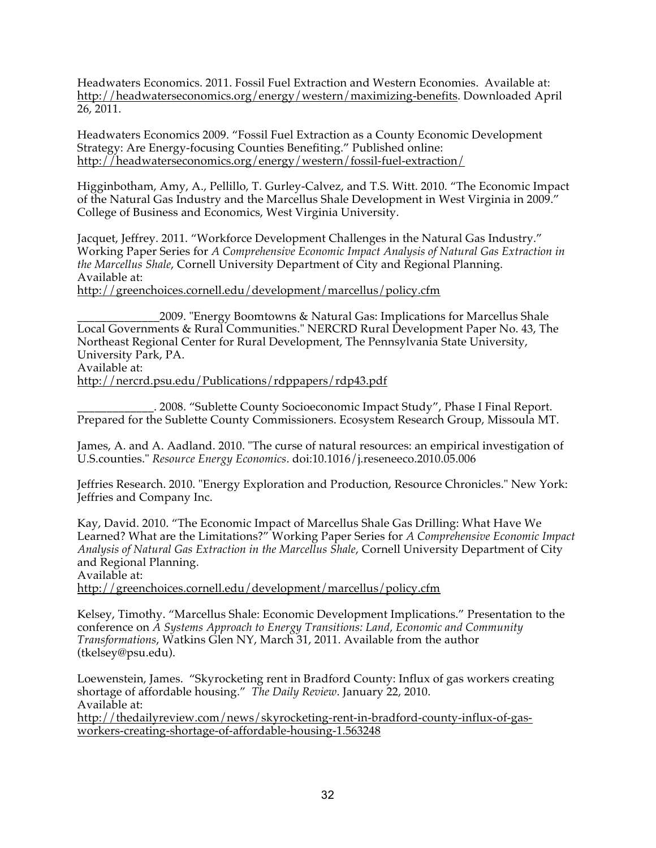Headwaters Economics. 2011. Fossil Fuel Extraction and Western Economies. Available at: http://headwaterseconomics.org/energy/western/maximizing-benefits. Downloaded April 26, 2011.

Headwaters Economics 2009. "Fossil Fuel Extraction as a County Economic Development Strategy: Are Energy-focusing Counties Benefiting." Published online: http://headwaterseconomics.org/energy/western/fossil-fuel-extraction/

Higginbotham, Amy, A., Pellillo, T. Gurley-Calvez, and T.S. Witt. 2010. "The Economic Impact of the Natural Gas Industry and the Marcellus Shale Development in West Virginia in 2009." College of Business and Economics, West Virginia University.

Jacquet, Jeffrey. 2011. "Workforce Development Challenges in the Natural Gas Industry." Working Paper Series for *A Comprehensive Economic Impact Analysis of Natural Gas Extraction in the Marcellus Shale*, Cornell University Department of City and Regional Planning. Available at: http://greenchoices.cornell.edu/development/marcellus/policy.cfm

\_\_\_\_\_\_\_\_\_\_\_\_\_\_2009. "Energy Boomtowns & Natural Gas: Implications for Marcellus Shale Local Governments & Rural Communities." NERCRD Rural Development Paper No. 43, The Northeast Regional Center for Rural Development, The Pennsylvania State University, University Park, PA. Available at:

http://nercrd.psu.edu/Publications/rdppapers/rdp43.pdf

\_\_\_\_\_\_\_\_\_\_\_\_\_. 2008. "Sublette County Socioeconomic Impact Study", Phase I Final Report. Prepared for the Sublette County Commissioners. Ecosystem Research Group, Missoula MT.

James, A. and A. Aadland. 2010. "The curse of natural resources: an empirical investigation of U.S.counties." *Resource Energy Economics*. doi:10.1016/j.reseneeco.2010.05.006

Jeffries Research. 2010. "Energy Exploration and Production, Resource Chronicles." New York: Jeffries and Company Inc.

Kay, David. 2010. "The Economic Impact of Marcellus Shale Gas Drilling: What Have We Learned? What are the Limitations?" Working Paper Series for *A Comprehensive Economic Impact Analysis of Natural Gas Extraction in the Marcellus Shale*, Cornell University Department of City and Regional Planning. Available at:

http://greenchoices.cornell.edu/development/marcellus/policy.cfm

Kelsey, Timothy. "Marcellus Shale: Economic Development Implications." Presentation to the conference on *A Systems Approach to Energy Transitions: Land, Economic and Community Transformations*, Watkins Glen NY, March 31, 2011. Available from the author (tkelsey@psu.edu).

Loewenstein, James. "Skyrocketing rent in Bradford County: Influx of gas workers creating shortage of affordable housing." *The Daily Review*. January 22, 2010. Available at: http://thedailyreview.com/news/skyrocketing-rent-in-bradford-county-influx-of-gasworkers-creating-shortage-of-affordable-housing-1.563248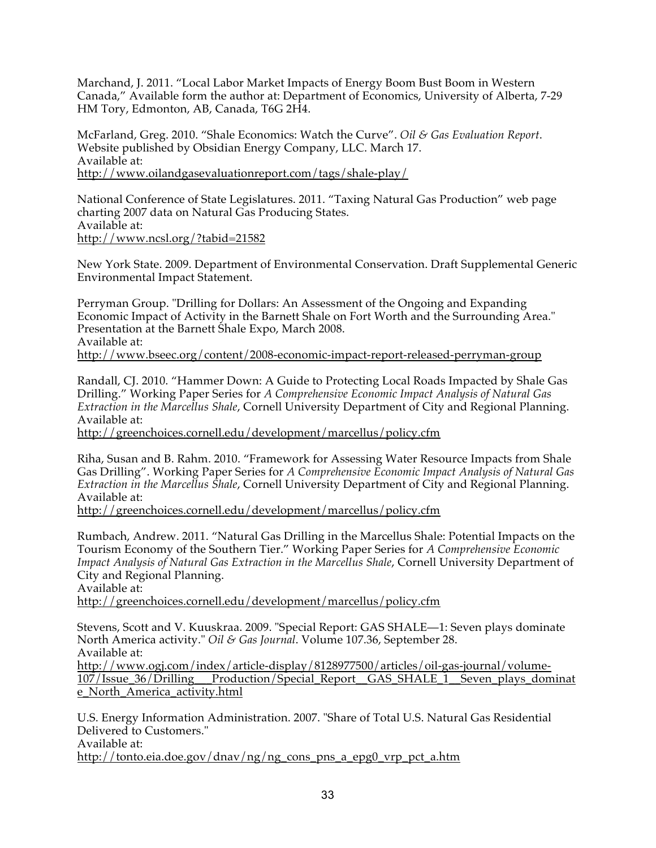Marchand, J. 2011. "Local Labor Market Impacts of Energy Boom Bust Boom in Western Canada," Available form the author at: Department of Economics, University of Alberta, 7-29 HM Tory, Edmonton, AB, Canada, T6G 2H4.

McFarland, Greg. 2010. "Shale Economics: Watch the Curve". *Oil & Gas Evaluation Report*. Website published by Obsidian Energy Company, LLC. March 17. Available at: http://www.oilandgasevaluationreport.com/tags/shale-play/

National Conference of State Legislatures. 2011. "Taxing Natural Gas Production" web page charting 2007 data on Natural Gas Producing States. Available at: http://www.ncsl.org/?tabid=21582

New York State. 2009. Department of Environmental Conservation. Draft Supplemental Generic Environmental Impact Statement.

Perryman Group. "Drilling for Dollars: An Assessment of the Ongoing and Expanding Economic Impact of Activity in the Barnett Shale on Fort Worth and the Surrounding Area." Presentation at the Barnett Shale Expo, March 2008. Available at: http://www.bseec.org/content/2008-economic-impact-report-released-perryman-group

Randall, CJ. 2010. "Hammer Down: A Guide to Protecting Local Roads Impacted by Shale Gas Drilling." Working Paper Series for *A Comprehensive Economic Impact Analysis of Natural Gas Extraction in the Marcellus Shale*, Cornell University Department of City and Regional Planning. Available at:

http://greenchoices.cornell.edu/development/marcellus/policy.cfm

Riha, Susan and B. Rahm. 2010. "Framework for Assessing Water Resource Impacts from Shale Gas Drilling". Working Paper Series for *A Comprehensive Economic Impact Analysis of Natural Gas Extraction in the Marcellus Shale*, Cornell University Department of City and Regional Planning. Available at:

http://greenchoices.cornell.edu/development/marcellus/policy.cfm

Rumbach, Andrew. 2011. "Natural Gas Drilling in the Marcellus Shale: Potential Impacts on the Tourism Economy of the Southern Tier." Working Paper Series for *A Comprehensive Economic Impact Analysis of Natural Gas Extraction in the Marcellus Shale*, Cornell University Department of City and Regional Planning.

Available at:

http://greenchoices.cornell.edu/development/marcellus/policy.cfm

Stevens, Scott and V. Kuuskraa. 2009. "Special Report: GAS SHALE—1: Seven plays dominate North America activity." *Oil & Gas Journal*. Volume 107.36, September 28. Available at:

http://www.ogj.com/index/article-display/8128977500/articles/oil-gas-journal/volume-107/Issue\_36/Drilling\_\_\_Production/Special\_Report\_\_GAS\_SHALE\_1\_\_Seven\_plays\_dominat e\_North\_America\_activity.html

U.S. Energy Information Administration. 2007. "Share of Total U.S. Natural Gas Residential Delivered to Customers." Available at: http://tonto.eia.doe.gov/dnav/ng/ng\_cons\_pns\_a\_epg0\_vrp\_pct\_a.htm